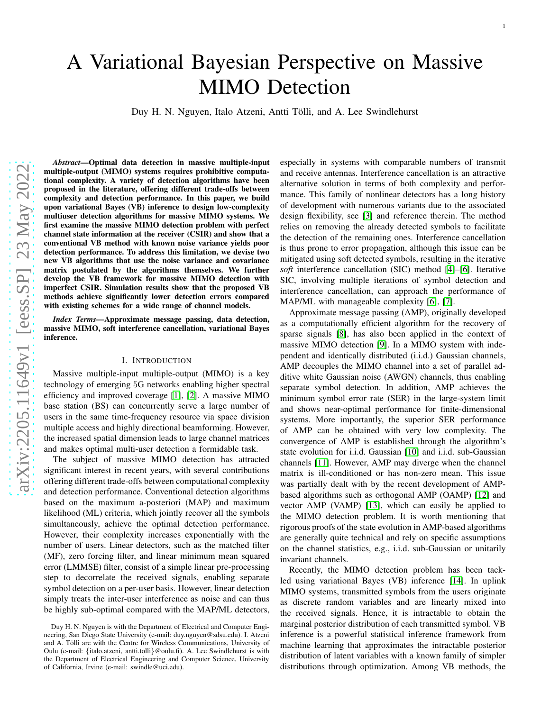# A Variational Bayesian Perspective on Massive MIMO Detection

Duy H. N. Nguyen, Italo Atzeni, Antti Tölli, and A. Lee Swindlehurst

*Abstract*—Optimal data detection in massive multiple-input multiple-output (MIMO) systems requires prohibitive computational complexity. A variety of detection algorithms have been proposed in the literature, offering different trade-offs between complexity and detection performance. In this paper, we build upon variational Bayes (VB) inference to design low-complexity multiuser detection algorithms for massive MIMO systems. We first examine the massive MIMO detection problem with perfect channel state information at the receiver (CSIR) and show that a conventional VB method with known noise variance yields poor detection performance. To address this limitation, we devise two new VB algorithms that use the noise variance and covariance matrix postulated by the algorithms themselves. We further develop the VB framework for massive MIMO detection with imperfect CSIR. Simulation results show that the proposed VB methods achieve significantly lower detection errors compared with existing schemes for a wide range of channel models.

*Index Terms*—Approximate message passing, data detection, massive MIMO, soft interference cancellation, variational Bayes inference.

## I. INTRODUCTION

Massive multiple-input multiple-output (MIMO) is a key technology of emerging 5G networks enabling higher spectral efficiency and improved coverage [\[1\]](#page-13-0), [\[2\]](#page-13-1). A massive MIMO base station (BS) can concurrently serve a large number of users in the same time-frequency resource via space division multiple access and highly directional beamforming. However, the increased spatial dimension leads to large channel matrices and makes optimal multi-user detection a formidable task.

The subject of massive MIMO detection has attracted significant interest in recent years, with several contributions offering different trade-offs between computational complexity and detection performance. Conventional detection algorithms based on the maximum a-posteriori (MAP) and maximum likelihood (ML) criteria, which jointly recover all the symbols simultaneously, achieve the optimal detection performance. However, their complexity increases exponentially with the number of users. Linear detectors, such as the matched filter (MF), zero forcing filter, and linear minimum mean squared error (LMMSE) filter, consist of a simple linear pre-processing step to decorrelate the received signals, enabling separate symbol detection on a per-user basis. However, linear detection simply treats the inter-user interference as noise and can thus be highly sub-optimal compared with the MAP/ML detectors, especially in systems with comparable numbers of transmit and receive antennas. Interference cancellation is an attractive alternative solution in terms of both complexity and performance. This family of nonlinear detectors has a long history of development with numerous variants due to the associated design flexibility, see [\[3\]](#page-13-2) and reference therein. The method relies on removing the already detected symbols to facilitate the detection of the remaining ones. Interference cancellation is thus prone to error propagation, although this issue can be mitigated using soft detected symbols, resulting in the iterative *soft* interference cancellation (SIC) method [\[4\]](#page-13-3)–[\[6\]](#page-13-4). Iterative SIC, involving multiple iterations of symbol detection and interference cancellation, can approach the performance of MAP/ML with manageable complexity [\[6\]](#page-13-4), [\[7\]](#page-13-5).

Approximate message passing (AMP), originally developed as a computationally efficient algorithm for the recovery of sparse signals [\[8\]](#page-13-6), has also been applied in the context of massive MIMO detection [\[9\]](#page-13-7). In a MIMO system with independent and identically distributed (i.i.d.) Gaussian channels, AMP decouples the MIMO channel into a set of parallel additive white Gaussian noise (AWGN) channels, thus enabling separate symbol detection. In addition, AMP achieves the minimum symbol error rate (SER) in the large-system limit and shows near-optimal performance for finite-dimensional systems. More importantly, the superior SER performance of AMP can be obtained with very low complexity. The convergence of AMP is established through the algorithm's state evolution for i.i.d. Gaussian [\[10\]](#page-13-8) and i.i.d. sub-Gaussian channels [\[11\]](#page-13-9). However, AMP may diverge when the channel matrix is ill-conditioned or has non-zero mean. This issue was partially dealt with by the recent development of AMPbased algorithms such as orthogonal AMP (OAMP) [\[12\]](#page-13-10) and vector AMP (VAMP) [\[13\]](#page-13-11), which can easily be applied to the MIMO detection problem. It is worth mentioning that rigorous proofs of the state evolution in AMP-based algorithms are generally quite technical and rely on specific assumptions on the channel statistics, e.g., i.i.d. sub-Gaussian or unitarily invariant channels.

Recently, the MIMO detection problem has been tackled using variational Bayes (VB) inference [\[14\]](#page-13-12). In uplink MIMO systems, transmitted symbols from the users originate as discrete random variables and are linearly mixed into the received signals. Hence, it is intractable to obtain the marginal posterior distribution of each transmitted symbol. VB inference is a powerful statistical inference framework from machine learning that approximates the intractable posterior distribution of latent variables with a known family of simpler distributions through optimization. Among VB methods, the

Duy H. N. Nguyen is with the Department of Electrical and Computer Engineering, San Diego State University (e-mail: duy.nguyen@sdsu.edu). I. Atzeni and A. Tölli are with the Centre for Wireless Communications, University of Oulu (e-mail: {italo.atzeni, antti.tolli}@oulu.fi). A. Lee Swindlehurst is with the Department of Electrical Engineering and Computer Science, University of California, Irvine (e-mail: swindle@uci.edu).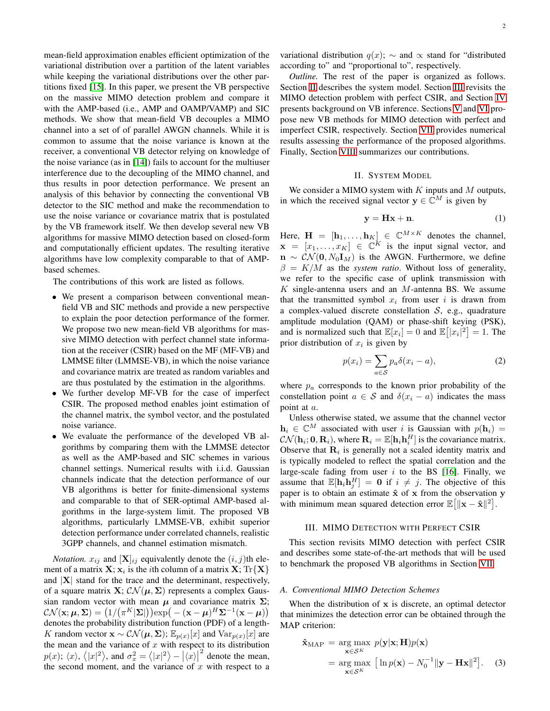mean-field approximation enables efficient optimization of the variational distribution over a partition of the latent variables while keeping the variational distributions over the other partitions fixed [\[15\]](#page-13-13). In this paper, we present the VB perspective on the massive MIMO detection problem and compare it with the AMP-based (i.e., AMP and OAMP/VAMP) and SIC methods. We show that mean-field VB decouples a MIMO channel into a set of of parallel AWGN channels. While it is common to assume that the noise variance is known at the receiver, a conventional VB detector relying on knowledge of the noise variance (as in [\[14\]](#page-13-12)) fails to account for the multiuser interference due to the decoupling of the MIMO channel, and thus results in poor detection performance. We present an analysis of this behavior by connecting the conventional VB detector to the SIC method and make the recommendation to use the noise variance or covariance matrix that is postulated by the VB framework itself. We then develop several new VB algorithms for massive MIMO detection based on closed-form and computationally efficient updates. The resulting iterative algorithms have low complexity comparable to that of AMPbased schemes.

The contributions of this work are listed as follows.

- We present a comparison between conventional meanfield VB and SIC methods and provide a new perspective to explain the poor detection performance of the former. We propose two new mean-field VB algorithms for massive MIMO detection with perfect channel state information at the receiver (CSIR) based on the MF (MF-VB) and LMMSE filter (LMMSE-VB), in which the noise variance and covariance matrix are treated as random variables and are thus postulated by the estimation in the algorithms.
- We further develop MF-VB for the case of imperfect CSIR. The proposed method enables joint estimation of the channel matrix, the symbol vector, and the postulated noise variance.
- We evaluate the performance of the developed VB algorithms by comparing them with the LMMSE detector as well as the AMP-based and SIC schemes in various channel settings. Numerical results with i.i.d. Gaussian channels indicate that the detection performance of our VB algorithms is better for finite-dimensional systems and comparable to that of SER-optimal AMP-based algorithms in the large-system limit. The proposed VB algorithms, particularly LMMSE-VB, exhibit superior detection performance under correlated channels, realistic 3GPP channels, and channel estimation mismatch.

*Notation.*  $x_{ij}$  and  $[X]_{ij}$  equivalently denote the  $(i, j)$ th element of a matrix  $\mathbf{X}; \mathbf{x}_i$  is the  $i$ th column of a matrix  $\mathbf{X}; \text{Tr}\{\mathbf{X}\}$ and  $|X|$  stand for the trace and the determinant, respectively, of a square matrix  $X: \mathcal{CN}(\mu, \Sigma)$  represents a complex Gaussian random vector with mean  $\mu$  and covariance matrix  $\Sigma$ ;  $\mathcal{CN}(\mathbf{x};\boldsymbol{\mu},\boldsymbol{\Sigma}) = \left( 1/ \big(\pi^K |\boldsymbol{\Sigma}|\big) \right) \exp\big(- (\mathbf{x} - \boldsymbol{\mu})^H \boldsymbol{\Sigma}^{-1} (\mathbf{x} - \boldsymbol{\mu})\big)$ denotes the probability distribution function (PDF) of a length-K random vector  $\mathbf{x} \sim \mathcal{CN}(\boldsymbol{\mu}, \boldsymbol{\Sigma})$ ;  $\mathbb{E}_{p(x)}[x]$  and  $\text{Var}_{p(x)}[x]$  are the mean and the variance of  $x$  with respect to its distribution  $p(x)$ ;  $\langle x \rangle$ ,  $\langle |x|^2 \rangle$ , and  $\sigma_x^2 = \langle |x|^2 \rangle - |\langle x \rangle|$  $2<sup>2</sup>$  denote the mean, the second moment, and the variance of  $x$  with respect to a variational distribution  $q(x)$ ;  $\sim$  and  $\propto$  stand for "distributed" according to" and "proportional to", respectively.

*Outline.* The rest of the paper is organized as follows. Section [II](#page-1-0) describes the system model. Section [III](#page-1-1) revisits the MIMO detection problem with perfect CSIR, and Section [IV](#page-2-0) presents background on VB inference. Sections [V](#page-3-0) and [VI](#page-7-0) propose new VB methods for MIMO detection with perfect and imperfect CSIR, respectively. Section [VII](#page-10-0) provides numerical results assessing the performance of the proposed algorithms. Finally, Section [VIII](#page-12-0) summarizes our contributions.

## II. SYSTEM MODEL

<span id="page-1-0"></span>We consider a MIMO system with  $K$  inputs and  $M$  outputs, in which the received signal vector  $y \in \mathbb{C}^M$  is given by

<span id="page-1-2"></span>
$$
y = Hx + n.\t\t(1)
$$

Here,  $\mathbf{H} = [\mathbf{h}_1, \dots, \mathbf{h}_K] \in \mathbb{C}^{M \times K}$  denotes the channel,  $\mathbf{x} = [x_1, \dots, x_K] \in \mathbb{C}^K$  is the input signal vector, and  $\mathbf{n} \sim \mathcal{CN}(\mathbf{0}, N_0 \mathbf{I}_M)$  is the AWGN. Furthermore, we define  $\beta = K/M$  as the *system ratio*. Without loss of generality, we refer to the specific case of uplink transmission with  $K$  single-antenna users and an  $M$ -antenna BS. We assume that the transmitted symbol  $x_i$  from user i is drawn from a complex-valued discrete constellation  $S$ , e.g., quadrature amplitude modulation (QAM) or phase-shift keying (PSK), and is normalized such that  $\mathbb{E}[x_i] = 0$  and  $\mathbb{E}[|x_i|^2] = 1$ . The prior distribution of  $x_i$  is given by

$$
p(x_i) = \sum_{a \in S} p_a \delta(x_i - a), \tag{2}
$$

where  $p_a$  corresponds to the known prior probability of the constellation point  $a \in S$  and  $\delta(x_i - a)$  indicates the mass point at a.

Unless otherwise stated, we assume that the channel vector  $h_i \in \mathbb{C}^M$  associated with user i is Gaussian with  $p(h_i) =$  $\mathcal{CN}(\mathbf{h}_i; \mathbf{0}, \mathbf{R}_i)$ , where  $\mathbf{R}_i = \mathbb{E}[\mathbf{h}_i \mathbf{h}_i^H]$  is the covariance matrix. Observe that  $\mathbf{R}_i$  is generally not a scaled identity matrix and is typically modeled to reflect the spatial correlation and the large-scale fading from user  $i$  to the BS [\[16\]](#page-13-14). Finally, we assume that  $\mathbb{E}[\mathbf{h}_i \mathbf{h}_j^H] = \mathbf{0}$  if  $i \neq j$ . The objective of this paper is to obtain an estimate  $\hat{x}$  of x from the observation y with minimum mean squared detection error  $\mathbb{E}[\|\mathbf{x} - \hat{\mathbf{x}}\|^2].$ 

## III. MIMO DETECTION WITH PERFECT CSIR

<span id="page-1-1"></span>This section revisits MIMO detection with perfect CSIR and describes some state-of-the-art methods that will be used to benchmark the proposed VB algorithms in Section [VII.](#page-10-0)

#### *A. Conventional MIMO Detection Schemes*

When the distribution of x is discrete, an optimal detector that minimizes the detection error can be obtained through the MAP criterion:

$$
\hat{\mathbf{x}}_{\text{MAP}} = \underset{\mathbf{x} \in \mathcal{S}^K}{\arg \max} \ p(\mathbf{y}|\mathbf{x}; \mathbf{H}) p(\mathbf{x}) \n= \underset{\mathbf{x} \in \mathcal{S}^K}{\arg \max} \ [\ln p(\mathbf{x}) - N_0^{-1} || \mathbf{y} - \mathbf{H} \mathbf{x} ||^2]. \tag{3}
$$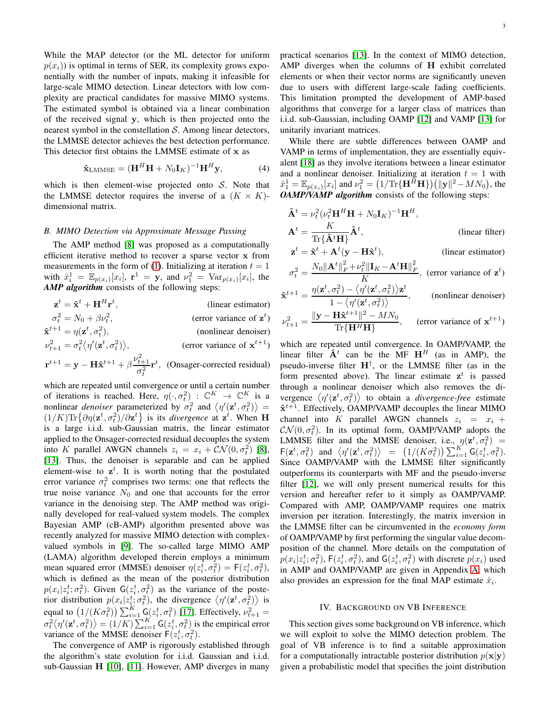While the MAP detector (or the ML detector for uniform  $p(x_i)$ ) is optimal in terms of SER, its complexity grows exponentially with the number of inputs, making it infeasible for large-scale MIMO detection. Linear detectors with low complexity are practical candidates for massive MIMO systems. The estimated symbol is obtained via a linear combination of the received signal y, which is then projected onto the nearest symbol in the constellation  $S$ . Among linear detectors, the LMMSE detector achieves the best detection performance. This detector first obtains the LMMSE estimate of x as

<span id="page-2-1"></span>
$$
\hat{\mathbf{x}}_{\text{LMMSE}} = (\mathbf{H}^H \mathbf{H} + N_0 \mathbf{I}_K)^{-1} \mathbf{H}^H \mathbf{y},\tag{4}
$$

which is then element-wise projected onto  $S$ . Note that the LMMSE detector requires the inverse of a  $(K \times K)$ dimensional matrix.

#### *B. MIMO Detection via Approximate Message Passing*

The AMP method [\[8\]](#page-13-6) was proposed as a computationally efficient iterative method to recover a sparse vector x from measurements in the form of [\(1\)](#page-1-2). Initializing at iteration  $t = 1$ with  $\hat{x}_i^1 = \mathbb{E}_{p(x_i)}[x_i]$ ,  $\mathbf{r}^1 = \mathbf{y}$ , and  $\nu_1^2 = \text{Var}_{p(x_i)}[x_i]$ , the *AMP algorithm* consists of the following steps:

| $\mathbf{z}^t = \hat{\mathbf{x}}^t + \mathbf{H}^H \mathbf{r}^t,$                                                                                      | (linear estimator)             |
|-------------------------------------------------------------------------------------------------------------------------------------------------------|--------------------------------|
| $\sigma_t^2 = N_0 + \beta \nu_t^2$ ,                                                                                                                  | (error variance of $z^t$ )     |
| $\mathbf{\hat{x}}^{t+1} = \eta(\mathbf{z}^t, \sigma_t^2),$                                                                                            | (nonlinear denoiser)           |
| $\nu_{t+1}^2 = \sigma_t^2 \langle \eta'(\mathbf{z}^t, \sigma_t^2) \rangle,$                                                                           | (error variance of $x^{t+1}$ ) |
| $\mathbf{r}^{t+1} = \mathbf{y} - \mathbf{H}\hat{\mathbf{x}}^{t+1} + \beta \frac{\nu_{t+1}^2}{\sigma_t^2} \mathbf{r}^t$ , (Onsager-corrected residual) |                                |

which are repeated until convergence or until a certain number of iterations is reached. Here,  $\eta(\cdot, \sigma_t^2)$  :  $\mathbb{C}^K \to \mathbb{C}^K$  is a nonlinear *denoiser* parameterized by  $\sigma_t^2$  and  $\langle \eta'(\mathbf{z}^t, \sigma_t^2) \rangle =$  $(1/K) \text{Tr} \{\partial \eta(\mathbf{z}^t, \sigma_t^2) / \partial \mathbf{z}^t\}$  is its *divergence* at  $\mathbf{z}^t$ . When **H** is a large i.i.d. sub-Gaussian matrix, the linear estimator applied to the Onsager-corrected residual decouples the system into K parallel AWGN channels  $z_i = x_i + \mathcal{CN}(0, \sigma_t^2)$  [\[8\]](#page-13-6), [\[13\]](#page-13-11). Thus, the denoiser is separable and can be applied element-wise to  $z^t$ . It is worth noting that the postulated error variance  $\sigma_t^2$  comprises two terms: one that reflects the true noise variance  $N_0$  and one that accounts for the error variance in the denoising step. The AMP method was originally developed for real-valued system models. The complex Bayesian AMP (cB-AMP) algorithm presented above was recently analyzed for massive MIMO detection with complexvalued symbols in [\[9\]](#page-13-7). The so-called large MIMO AMP (LAMA) algorithm developed therein employs a minimum mean squared error (MMSE) denoiser  $\eta(z_i^{\overline{t}}, \sigma_t^2) = F(z_i^t, \sigma_t^2)$ , which is defined as the mean of the posterior distribution  $p(x_i|z_i^t; \sigma_t^2)$ . Given  $G(z_i^t, \sigma_t^2)$  as the variance of the posterior distribution  $p(x_i|z_i^t; \sigma_t^2)$ , the divergence  $\langle \eta'(\mathbf{z}^t, \sigma_t^2) \rangle$  is equal to  $(1/(K\sigma_t^2))\sum_{i=1}^K \mathsf{G}(z_i^t, \sigma_t^2)$  [\[17\]](#page-13-15). Effectively,  $\nu_{t+1}^2 =$  $\langle \sigma_t^2 \langle \eta'(\mathbf{z}^t, \sigma_t^2) \rangle = (1/K) \sum_{i=1}^K \mathsf{G}(z_i^t, \sigma_t^2)$  is the empirical error variance of the MMSE denoiser  $F(z_i^t, \sigma_t^2)$ .

The convergence of AMP is rigorously established through the algorithm's state evolution for i.i.d. Gaussian and i.i.d. sub-Gaussian H [\[10\]](#page-13-8), [\[11\]](#page-13-9). However, AMP diverges in many practical scenarios [\[13\]](#page-13-11). In the context of MIMO detection, AMP diverges when the columns of H exhibit correlated elements or when their vector norms are significantly uneven due to users with different large-scale fading coefficients. This limitation prompted the development of AMP-based algorithms that converge for a larger class of matrices than i.i.d. sub-Gaussian, including OAMP [\[12\]](#page-13-10) and VAMP [\[13\]](#page-13-11) for unitarily invariant matrices.

While there are subtle differences between OAMP and VAMP in terms of implementation, they are essentially equivalent [\[18\]](#page-13-16) as they involve iterations between a linear estimator and a nonlinear denoiser. Initializing at iteration  $t = 1$  with  $\hat{x}_1^1 = \mathbb{E}_{p(x_i)}[x_i]$  and  $\nu_1^2 = (1/\text{Tr}\{\mathbf{H}^H\mathbf{H}\} ) \big( \| \mathbf{y} \|^2 - M N_0 \big)$ , the *OAMP/VAMP algorithm* consists of the following steps:

$$
\hat{\mathbf{A}}^{t} = \nu_{t}^{2} (\nu_{t}^{2} \mathbf{H}^{H} \mathbf{H} + N_{0} \mathbf{I}_{K})^{-1} \mathbf{H}^{H},
$$
\n
$$
\mathbf{A}^{t} = \frac{K}{\text{Tr}\{\hat{\mathbf{A}}^{t}\mathbf{H}\}} \hat{\mathbf{A}}^{t}, \qquad \text{(linear filter)}
$$
\n
$$
\mathbf{z}^{t} = \hat{\mathbf{x}}^{t} + \mathbf{A}^{t} (\mathbf{y} - \mathbf{H}\hat{\mathbf{x}}^{t}), \qquad \text{(linear estimator)}
$$
\n
$$
\sigma_{t}^{2} = \frac{N_{0} ||\mathbf{A}^{t}||_{F}^{2} + \nu_{t}^{2} ||\mathbf{I}_{K} - \mathbf{A}^{t} \mathbf{H}||_{F}^{2}}{K}, \text{ (error variance of } \mathbf{z}^{t})
$$
\n
$$
\hat{\mathbf{x}}^{t+1} = \frac{\eta(\mathbf{z}^{t}, \sigma_{t}^{2}) - \langle \eta'(\mathbf{z}^{t}, \sigma_{t}^{2}) \rangle \mathbf{z}^{t}}{1 - \langle \eta'(\mathbf{z}^{t}, \sigma_{t}^{2}) \rangle}, \qquad \text{(nonlinear denoiser)}
$$
\n
$$
\nu_{t+1}^{2} = \frac{||\mathbf{y} - \mathbf{H}\hat{\mathbf{x}}^{t+1}||^{2} - MN_{0}}{\text{Tr}\{\mathbf{H}^{H}\mathbf{H}\}}, \qquad \text{(error variance of } \mathbf{x}^{t+1})
$$

which are repeated until convergence. In OAMP/VAMP, the linear filter  $\mathbf{\hat{A}}^t$  can be the MF  $\mathbf{H}^H$  (as in AMP), the pseudo-inverse filter  $H^{\dagger}$ , or the LMMSE filter (as in the form presented above). The linear estimate  $z^t$  is passed through a nonlinear denoiser which also removes the divergence  $\langle \eta'(\mathbf{z}^t, \sigma_t^2) \rangle$  to obtain a *divergence-free* estimate  $\hat{\mathbf{x}}^{t+1}$ . Effectively, OAMP/VAMP decouples the linear MIMO channel into K parallel AWGN channels  $z_i = x_i +$  $\mathcal{CN}(0, \sigma_t^2)$ . In its optimal form, OAMP/VAMP adopts the LMMSE filter and the MMSE denoiser, i.e.,  $p(\mathbf{z}^t, \sigma_t^2)$  =  $\mathsf{F}(\mathbf{z}^t, \sigma_t^2)$  and  $\langle \eta'(\mathbf{z}^t, \sigma_t^2) \rangle = (1/(K\sigma_t^2)) \sum_{i=1}^K \mathsf{G}(z_i^t, \sigma_t^2).$ Since OAMP/VAMP with the LMMSE filter significantly outperforms its counterparts with MF and the pseudo-inverse filter [\[12\]](#page-13-10), we will only present numerical results for this version and hereafter refer to it simply as OAMP/VAMP. Compared with AMP, OAMP/VAMP requires one matrix inversion per iteration. Interestingly, the matrix inversion in the LMMSE filter can be circumvented in the *economy form* of OAMP/VAMP by first performing the singular value decomposition of the channel. More details on the computation of  $p(x_i|z_i^t; \sigma_t^2)$ ,  $F(z_i^t, \sigma_t^2)$ , and  $G(z_i^t, \sigma_t^2)$  with discrete  $p(x_i)$  used in AMP and OAMP/VAMP are given in Appendix [A,](#page-13-17) which also provides an expression for the final MAP estimate  $\hat{x}_i$ .

#### IV. BACKGROUND ON VB INFERENCE

<span id="page-2-0"></span>This section gives some background on VB inference, which we will exploit to solve the MIMO detection problem. The goal of VB inference is to find a suitable approximation for a computationally intractable posterior distribution  $p(x|y)$ given a probabilistic model that specifies the joint distribution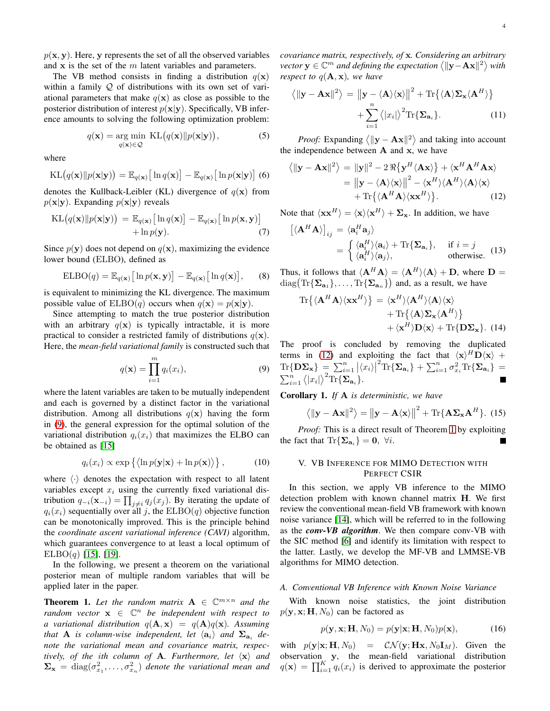$p(x, y)$ . Here, y represents the set of all the observed variables and  $x$  is the set of the  $m$  latent variables and parameters.

The VB method consists in finding a distribution  $q(\mathbf{x})$ within a family  $Q$  of distributions with its own set of variational parameters that make  $q(x)$  as close as possible to the posterior distribution of interest  $p(x|y)$ . Specifically, VB inference amounts to solving the following optimization problem:

$$
q(\mathbf{x}) = \underset{q(\mathbf{x}) \in \mathcal{Q}}{\arg \min} \ \mathrm{KL}\big(q(\mathbf{x}) || p(\mathbf{x} | \mathbf{y})\big),\tag{5}
$$

where

$$
KL(q(\mathbf{x})||p(\mathbf{x}|\mathbf{y})) = \mathbb{E}_{q(\mathbf{x})}\big[\ln q(\mathbf{x})\big] - \mathbb{E}_{q(\mathbf{x})}\big[\ln p(\mathbf{x}|\mathbf{y})\big]\tag{6}
$$

denotes the Kullback-Leibler (KL) divergence of  $q(\mathbf{x})$  from  $p(\mathbf{x}|\mathbf{y})$ . Expanding  $p(\mathbf{x}|\mathbf{y})$  reveals

$$
KL(q(\mathbf{x})||p(\mathbf{x}|\mathbf{y})) = \mathbb{E}_{q(\mathbf{x})} [\ln q(\mathbf{x})] - \mathbb{E}_{q(\mathbf{x})} [\ln p(\mathbf{x}, \mathbf{y})] + \ln p(\mathbf{y}).
$$
\n(7)

Since  $p(y)$  does not depend on  $q(x)$ , maximizing the evidence lower bound (ELBO), defined as

$$
ELBO(q) = \mathbb{E}_{q(\mathbf{x})} [\ln p(\mathbf{x}, \mathbf{y})] - \mathbb{E}_{q(\mathbf{x})} [\ln q(\mathbf{x})], \qquad (8)
$$

is equivalent to minimizing the KL divergence. The maximum possible value of  $ELBO(q)$  occurs when  $q(\mathbf{x}) = p(\mathbf{x}|\mathbf{y})$ .

Since attempting to match the true posterior distribution with an arbitrary  $q(x)$  is typically intractable, it is more practical to consider a restricted family of distributions  $q(\mathbf{x})$ . Here, the *mean-field variational family* is constructed such that

<span id="page-3-1"></span>
$$
q(\mathbf{x}) = \prod_{i=1}^{m} q_i(x_i),
$$
\n(9)

where the latent variables are taken to be mutually independent and each is governed by a distinct factor in the variational distribution. Among all distributions  $q(x)$  having the form in [\(9\)](#page-3-1), the general expression for the optimal solution of the variational distribution  $q_i(x_i)$  that maximizes the ELBO can be obtained as [\[15\]](#page-13-13)

$$
q_i(x_i) \propto \exp\left\{ \left\langle \ln p(\mathbf{y}|\mathbf{x}) + \ln p(\mathbf{x}) \right\rangle \right\},\tag{10}
$$

where  $\langle \cdot \rangle$  denotes the expectation with respect to all latent variables except  $x_i$  using the currently fixed variational distribution  $q_{-i}(\mathbf{x}_{-i}) = \prod_{j \neq i} q_j(x_j)$ . By iterating the update of  $q_i(x_i)$  sequentially over all j, the  $ELBO(q)$  objective function can be monotonically improved. This is the principle behind the *coordinate ascent variational inference (CAVI)* algorithm, which guarantees convergence to at least a local optimum of  $ELBO(q)$  [\[15\]](#page-13-13), [\[19\]](#page-13-18).

In the following, we present a theorem on the variational posterior mean of multiple random variables that will be applied later in the paper.

<span id="page-3-3"></span>**Theorem 1.** Let the random matrix  $A \in \mathbb{C}^{m \times n}$  and the  $r$ *andom vector*  $\mathbf{x} \in \mathbb{C}^n$  *be independent with respect to a* variational distribution  $q(\mathbf{A}, \mathbf{x}) = q(\mathbf{A})q(\mathbf{x})$ . Assuming *that* **A** *is column-wise independent, let*  $\langle a_i \rangle$  *and*  $\Sigma_{a_i}$  *denote the variational mean and covariance matrix, respectively, of the ith column of* **A***. Furthermore, let*  $\langle x \rangle$  *and*  $\Sigma_{\mathbf{x}} = \text{diag}(\sigma_{x_1}^2, \dots, \sigma_{x_n}^2)$  *denote the variational mean and*  *covariance matrix, respectively, of* x*. Considering an arbitrary vector*  $y \in \mathbb{C}^m$  *and defining the expectation*  $\langle ||y - Ax||^2 \rangle$  *with respect to*  $q(\mathbf{A}, \mathbf{x})$ *, we have* 

$$
\langle \|\mathbf{y} - \mathbf{A}\mathbf{x}\|^2 \rangle = \left\| \mathbf{y} - \langle \mathbf{A} \rangle \langle \mathbf{x} \rangle \right\|^2 + \text{Tr}\{\langle \mathbf{A} \rangle \mathbf{\Sigma}_{\mathbf{x}} \langle \mathbf{A}^H \rangle\}
$$

$$
+ \sum_{i=1}^n \langle |x_i| \rangle^2 \text{Tr}\{\mathbf{\Sigma}_{\mathbf{a}_i}\}.
$$
(11)

*Proof:* Expanding  $\langle ||\mathbf{y} - \mathbf{A}\mathbf{x}||^2 \rangle$  and taking into account the independence between  $A$  and  $x$ , we have

<span id="page-3-2"></span>
$$
\langle ||\mathbf{y} - \mathbf{A}\mathbf{x}||^2 \rangle = ||\mathbf{y}||^2 - 2 \Re{\{\mathbf{y}^H \langle \mathbf{A}\mathbf{x} \rangle\}} + \langle \mathbf{x}^H \mathbf{A}^H \mathbf{A} \mathbf{x} \rangle
$$
  
= 
$$
||\mathbf{y} - \langle \mathbf{A} \rangle \langle \mathbf{x} \rangle||^2 - \langle \mathbf{x}^H \rangle \langle \mathbf{A}^H \rangle \langle \mathbf{x} \rangle
$$

$$
+ \text{Tr}\{\langle \mathbf{A}^H \mathbf{A} \rangle \langle \mathbf{x} \mathbf{x}^H \rangle\}. \tag{12}
$$

Note that  $\langle \mathbf{x} \mathbf{x}^H \rangle = \langle \mathbf{x} \rangle \langle \mathbf{x}^H \rangle + \Sigma_{\mathbf{x}}$ . In addition, we have

$$
\left[ \langle \mathbf{A}^H \mathbf{A} \rangle \right]_{ij} = \langle \mathbf{a}_i^H \mathbf{a}_j \rangle
$$
  
= 
$$
\begin{cases} \langle \mathbf{a}_i^H \rangle \langle \mathbf{a}_i \rangle + \text{Tr} \{ \mathbf{\Sigma}_{\mathbf{a}_i} \}, & \text{if } i = j \\ \langle \mathbf{a}_i^H \rangle \langle \mathbf{a}_j \rangle, & \text{otherwise.} \end{cases}
$$
(13)

Thus, it follows that  $\langle \mathbf{A}^H \mathbf{A} \rangle = \langle \mathbf{A}^H \rangle \langle \mathbf{A} \rangle + \mathbf{D}$ , where  $\mathbf{D} =$  $diag(\text{Tr}\{\mathbf{\Sigma}_{\mathbf{a}_1}\},\ldots,\text{Tr}\{\mathbf{\Sigma}_{\mathbf{a}_n}\})$  and, as a result, we have

$$
\mathrm{Tr}\{\langle \mathbf{A}^H \mathbf{A} \rangle \langle \mathbf{x} \mathbf{x}^H \rangle\} = \langle \mathbf{x}^H \rangle \langle \mathbf{A}^H \rangle \langle \mathbf{A} \rangle \langle \mathbf{x} \rangle \n+ \mathrm{Tr}\{\langle \mathbf{A} \rangle \mathbf{\Sigma}_{\mathbf{x}} \langle \mathbf{A}^H \rangle\} \n+ \langle \mathbf{x}^H \rangle \mathbf{D} \langle \mathbf{x} \rangle + \mathrm{Tr}\{\mathbf{D} \mathbf{\Sigma}_{\mathbf{x}}\}. (14)
$$

The proof is concluded by removing the duplicated terms in [\(12\)](#page-3-2) and exploiting the fact that  $\langle x \rangle^H \mathbf{D} \langle x \rangle$  +  $\text{Tr}\{\mathbf{D}\mathbf{\Sigma}_{\mathbf{x}}\} = \sum_{i=1}^{n} |\langle x_i \rangle|$  $^2\text{Tr}\{\mathbf{\Sigma}_{\mathbf{a}_i}\}+\sum_{i=1}^n\sigma_{x_i}^2\text{Tr}\{\mathbf{\Sigma}_{\mathbf{a}_i}\}=$  $\sum_{i=1}^n \langle |x_i| \rangle^2 \text{Tr} {\{\mathbf{\Sigma}_{\mathbf{a}_i}\}}.$ 

<span id="page-3-4"></span>Corollary 1. *If* A *is deterministic, we have*

$$
\left\langle \|\mathbf{y} - \mathbf{A}\mathbf{x}\|^2 \right\rangle = \left\| \mathbf{y} - \mathbf{A}\langle \mathbf{x} \rangle \right\|^2 + \text{Tr}\{\mathbf{A}\mathbf{\Sigma}_{\mathbf{x}}\mathbf{A}^H\}. \tag{15}
$$

*Proof:* This is a direct result of Theorem [1](#page-3-3) by exploiting the fact that  $\text{Tr}\{\Sigma_{\mathbf{a}_i}\}=0, \forall i$ .

## <span id="page-3-0"></span>V. VB INFERENCE FOR MIMO DETECTION WITH PERFECT CSIR

In this section, we apply VB inference to the MIMO detection problem with known channel matrix H. We first review the conventional mean-field VB framework with known noise variance [\[14\]](#page-13-12), which will be referred to in the following as the *conv-VB algorithm*. We then compare conv-VB with the SIC method [\[6\]](#page-13-4) and identify its limitation with respect to the latter. Lastly, we develop the MF-VB and LMMSE-VB algorithms for MIMO detection.

## *A. Conventional VB Inference with Known Noise Variance*

With known noise statistics, the joint distribution  $p(\mathbf{y}, \mathbf{x}; \mathbf{H}, N_0)$  can be factored as

$$
p(\mathbf{y}, \mathbf{x}; \mathbf{H}, N_0) = p(\mathbf{y}|\mathbf{x}; \mathbf{H}, N_0) p(\mathbf{x}), \qquad (16)
$$

with  $p(\mathbf{y}|\mathbf{x}; \mathbf{H}, N_0) = \mathcal{CN}(\mathbf{y}; \mathbf{H}\mathbf{x}, N_0\mathbf{I}_M)$ . Given the observation y, the mean-field variational distribution  $q(\mathbf{x}) = \prod_{i=1}^{K} q_i(x_i)$  is derived to approximate the posterior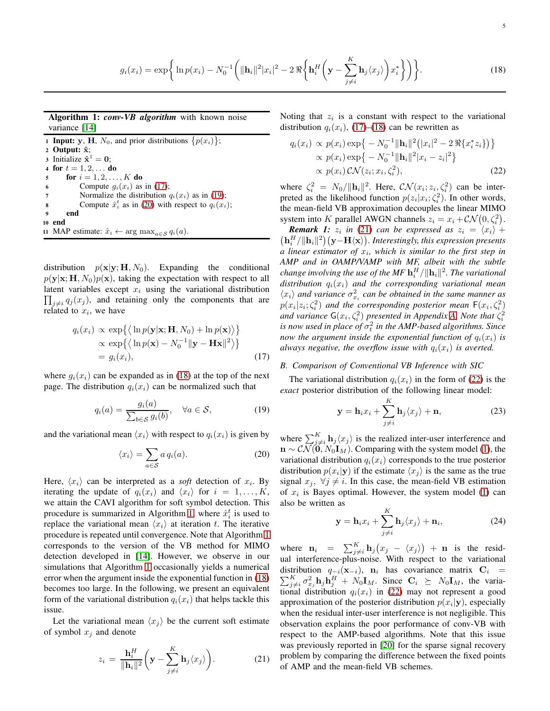<span id="page-4-3"></span>
$$
g_i(x_i) = \exp\bigg\{\ln p(x_i) - N_0^{-1}\bigg(\|\mathbf{h}_i\|^2 |x_i|^2 - 2\Re\bigg\{\mathbf{h}_i^H\bigg(\mathbf{y} - \sum_{j \neq i}^K \mathbf{h}_j \langle x_j \rangle\bigg)x_i^*\bigg\}\bigg)\bigg\}.
$$
 (18)

Algorithm 1: *conv-VB algorithm* with known noise variance [\[14\]](#page-13-12)

**1 Input:** y, H,  $N_0$ , and prior distributions  $\{p(x_i)\}\;$ ; 2 Output:  $\hat{x}$ ; 3 Initialize  $\hat{\mathbf{x}}^1 = \mathbf{0}$ ; 4 for  $t = 1, 2, ...$  do 5 **for**  $i = 1, 2, ..., K$  **do** 6 Compute  $g_i(x_i)$  as in [\(17\)](#page-4-0); 7 Normalize the distribution  $q_i(x_i)$  as in [\(19\)](#page-4-1); 8 Compute  $\hat{x}_i^t$  as in [\(20\)](#page-4-2) with respect to  $q_i(x_i)$ ; <sup>9</sup> end <sup>10</sup> end

11 MAP estimate:  $\hat{x}_i \leftarrow \arg \max_{a \in \mathcal{S}} q_i(a)$ .

distribution  $p(\mathbf{x}|\mathbf{y}; \mathbf{H}, N_0)$ . Expanding the conditional  $p(\mathbf{y}|\mathbf{x}; \mathbf{H}, N_0)p(\mathbf{x})$ , taking the expectation with respect to all  $\prod_{j\neq i} q_j(x_j)$ , and retaining only the components that are latent variables except  $x_i$  using the variational distribution related to  $x_i$ , we have

<span id="page-4-0"></span>
$$
q_i(x_i) \propto \exp\{\langle \ln p(\mathbf{y}|\mathbf{x}; \mathbf{H}, N_0) + \ln p(\mathbf{x}) \rangle \} \propto \exp\{\langle \ln p(\mathbf{x}) - N_0^{-1} || \mathbf{y} - \mathbf{H} \mathbf{x} ||^2 \rangle \} = g_i(x_i),
$$
\n(17)

where  $g_i(x_i)$  can be expanded as in [\(18\)](#page-4-3) at the top of the next page. The distribution  $q_i(x_i)$  can be normalized such that

<span id="page-4-1"></span>
$$
q_i(a) = \frac{g_i(a)}{\sum_{b \in \mathcal{S}} g_i(b)}, \quad \forall a \in \mathcal{S}, \tag{19}
$$

and the variational mean  $\langle x_i \rangle$  with respect to  $q_i(x_i)$  is given by

<span id="page-4-2"></span>
$$
\langle x_i \rangle = \sum_{a \in \mathcal{S}} a q_i(a). \tag{20}
$$

Here,  $\langle x_i \rangle$  can be interpreted as a *soft* detection of  $x_i$ . By iterating the update of  $q_i(x_i)$  and  $\langle x_i \rangle$  for  $i = 1, \ldots, K$ , we attain the CAVI algorithm for soft symbol detection. This procedure is summarized in Algorithm [1,](#page-4-4) where  $\hat{x}_i^t$  is used to replace the variational mean  $\langle x_i \rangle$  at iteration t. The iterative procedure is repeated until convergence. Note that Algorithm [1](#page-4-4) corresponds to the version of the VB method for MIMO detection developed in [\[14\]](#page-13-12). However, we observe in our simulations that Algorithm [1](#page-4-4) occasionally yields a numerical error when the argument inside the exponential function in [\(18\)](#page-4-3) becomes too large. In the following, we present an equivalent form of the variational distribution  $q_i(x_i)$  that helps tackle this issue.

Let the variational mean  $\langle x_i \rangle$  be the current soft estimate of symbol  $x_j$  and denote

<span id="page-4-5"></span>
$$
z_i = \frac{\mathbf{h}_i^H}{\|\mathbf{h}_i\|^2} \bigg( \mathbf{y} - \sum_{j \neq i}^K \mathbf{h}_j \langle x_j \rangle \bigg). \tag{21}
$$

Noting that  $z_i$  is a constant with respect to the variational distribution  $q_i(x_i)$ , [\(17\)](#page-4-0)–[\(18\)](#page-4-3) can be rewritten as

<span id="page-4-6"></span>
$$
q_i(x_i) \propto p(x_i) \exp\{-N_0^{-1} ||\mathbf{h}_i||^2 (|x_i|^2 - 2 \Re\{x_i^* z_i\})\}
$$
  
 
$$
\propto p(x_i) \exp\{-N_0^{-1} ||\mathbf{h}_i||^2 |x_i - z_i|^2\}
$$
  
 
$$
\propto p(x_i) \mathcal{CN}(z_i; x_i, \zeta_i^2),
$$
 (22)

where  $\zeta_i^2 = N_0 / ||\mathbf{h}_i||^2$ . Here,  $\mathcal{CN}(x_i; z_i, \zeta_i^2)$  can be interpreted as the likelihood function  $p(z_i|x_i;\zeta_i^2)$ . In other words, the mean-field VB approximation decouples the linear MIMO system into K parallel AWGN channels  $z_i = x_i + \mathcal{CN}(0, \zeta_i^2)$ .

<span id="page-4-4"></span>**Remark 1:**  $z_i$  in [\(21\)](#page-4-5) can be expressed as  $z_i = \langle x_i \rangle + \langle x_i \rangle$  $\left(\mathbf{h}_i^H/\|\mathbf{h}_i\|^2\right)\left(\mathbf{y}\!-\!\mathbf{H}\langle\mathbf{x}\rangle\right)$ . Interestingly, this expression presents *a linear estimator of* x<sup>i</sup> *, which is similar to the first step in AMP and in OAMP/VAMP with MF, albeit with the subtle* change involving the use of the MF  $\mathbf{h}^H_i/\|\mathbf{h}_i\|^2.$  The variational  $distribution q_i(x_i)$  *and the corresponding variational mean*  $\langle x_i \rangle$  and variance  $\sigma_{x_i}^2$  can be obtained in the same manner as  $p(x_i|z_i;\zeta_i^2)$  and the corresponding posterior mean  $\mathsf{F}(x_i,\zeta_i^2)$ and variance  $G(x_i, \zeta_i^2)$  presented in Appendix [A.](#page-13-17) Note that  $\zeta_i^2$ is now used in place of  $\sigma_t^2$  in the AMP-based algorithms. Since *now the argument inside the exponential function of*  $q_i(x_i)$  *is always negative, the overflow issue with*  $q_i(x_i)$  *is averted.* 

## *B. Comparison of Conventional VB Inference with SIC*

The variational distribution  $q_i(x_i)$  in the form of [\(22\)](#page-4-6) is the *exact* posterior distribution of the following linear model:

$$
\mathbf{y} = \mathbf{h}_i x_i + \sum_{j \neq i}^{K} \mathbf{h}_j \langle x_j \rangle + \mathbf{n}, \tag{23}
$$

where  $\sum_{j\neq i}^{K}$   $\mathbf{h}_{j}\langle x_{j}\rangle$  is the realized inter-user interference and  $\mathbf{n} \sim \mathcal{CN}(\mathbf{0}, N_0 \mathbf{I}_M)$ . Comparing with the system model [\(1\)](#page-1-2), the variational distribution  $q_i(x_i)$  corresponds to the true posterior distribution  $p(x_i|\mathbf{y})$  if the estimate  $\langle x_j \rangle$  is the same as the true signal  $x_j$ ,  $\forall j \neq i$ . In this case, the mean-field VB estimation of  $x_i$  is Bayes optimal. However, the system model [\(1\)](#page-1-2) can also be written as

<span id="page-4-7"></span>
$$
\mathbf{y} = \mathbf{h}_i x_i + \sum_{j \neq i}^{K} \mathbf{h}_j \langle x_j \rangle + \mathbf{n}_i,
$$
 (24)

where  $\mathbf{n}_i = \sum_{j \neq i}^{K} \mathbf{h}_j (x_j - \langle x_j \rangle) + \mathbf{n}$  is the residual interference-plus-noise. With respect to the variational  $\sum_{i=1}^K$ distribution  $q_{-i}(\mathbf{x}_{-i})$ ,  $\mathbf{n}_i$  has covariance matrix  $\mathbf{C}_i$  =  $\int_{j\neq i}^{K} \sigma_{x_j}^2 \mathbf{h}_j \mathbf{h}_j^H + N_0 \mathbf{I}_M$ . Since  $\mathbf{C}_i \succeq N_0 \mathbf{I}_M$ , the variational distribution  $q_i(x_i)$  in [\(22\)](#page-4-6) may not represent a good approximation of the posterior distribution  $p(x_i|\mathbf{y})$ , especially when the residual inter-user interference is not negligible. This observation explains the poor performance of conv-VB with respect to the AMP-based algorithms. Note that this issue was previously reported in [\[20\]](#page-13-19) for the sparse signal recovery problem by comparing the difference between the fixed points of AMP and the mean-field VB schemes.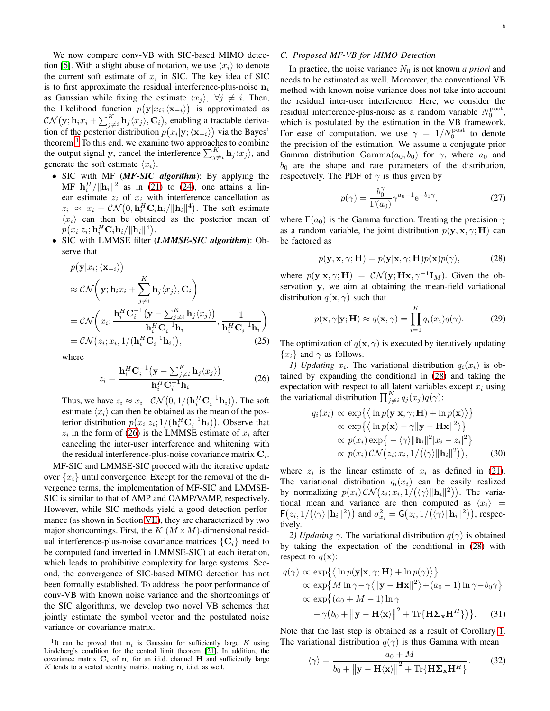We now compare conv-VB with SIC-based MIMO detec-tion [\[6\]](#page-13-4). With a slight abuse of notation, we use  $\langle x_i \rangle$  to denote the current soft estimate of  $x_i$  in SIC. The key idea of SIC is to first approximate the residual interference-plus-noise  $n_i$ as Gaussian while fixing the estimate  $\langle x_j \rangle$ ,  $\forall j \neq i$ . Then, the likelihood function  $p(\mathbf{y}|x_i; \langle \mathbf{x}_{-i} \rangle)$  is approximated as  $\mathcal{CN}(\mathbf{y};\mathbf{h}_i x_i + \sum_{j \neq i}^K \mathbf{h}_j \langle x_j \rangle, \mathbf{C}_i)$ , enabling a tractable derivation of the posterior distribution  $p(x_i|\mathbf{y}; \langle \mathbf{x}_{-i} \rangle)$  via the Bayes' theorem. $<sup>1</sup>$  $<sup>1</sup>$  $<sup>1</sup>$  To this end, we examine two approaches to combine</sup> the output signal y, cancel the interference  $\sum_{j\neq i}^{K}$  **h**<sub>j</sub> $\langle x_j \rangle$ , and generate the soft estimate  $\langle x_i \rangle$ .

- SIC with MF (*MF-SIC algorithm*): By applying the MF  $\mathbf{h}_i^H / ||\mathbf{h}_i||^2$  as in [\(21\)](#page-4-5) to [\(24\)](#page-4-7), one attains a linear estimate  $z_i$  of  $x_i$  with interference cancellation as  $z_i \approx x_i + \mathcal{CN}(0, \mathbf{h}_i^H \mathbf{C}_i \mathbf{h}_i / \|\mathbf{h}_i\|^4)$ . The soft estimate  $\langle x_i \rangle$  can then be obtained as the posterior mean of  $p\big(x_i|z_i; \mathbf{h}^H_i \mathbf{C}_i \mathbf{h}_i/\|\mathbf{h}_i\|^4\big).$
- SIC with LMMSE filter (*LMMSE-SIC algorithm*): Observe that

$$
p(\mathbf{y}|x_i; \langle \mathbf{x}_{-i} \rangle) \n\approx \mathcal{CN}\left(\mathbf{y}; \mathbf{h}_i x_i + \sum_{j \neq i}^K \mathbf{h}_j \langle x_j \rangle, \mathbf{C}_i\right) \n= \mathcal{CN}\left(x_i; \frac{\mathbf{h}_i^H \mathbf{C}_i^{-1} (\mathbf{y} - \sum_{j \neq i}^K \mathbf{h}_j \langle x_j \rangle)}{\mathbf{h}_i^H \mathbf{C}_i^{-1} \mathbf{h}_i}, \frac{1}{\mathbf{h}_i^H \mathbf{C}_i^{-1} \mathbf{h}_i}\right) \n= \mathcal{CN}\left(z_i; x_i, 1/(\mathbf{h}_i^H \mathbf{C}_i^{-1} \mathbf{h}_i)\right),
$$
\n(25)

where

<span id="page-5-1"></span>
$$
z_i = \frac{\mathbf{h}_i^H \mathbf{C}_i^{-1} \left( \mathbf{y} - \sum_{j \neq i}^K \mathbf{h}_j \langle x_j \rangle \right)}{\mathbf{h}_i^H \mathbf{C}_i^{-1} \mathbf{h}_i}.
$$
 (26)

Thus, we have  $z_i \approx x_i + \mathcal{CN}\big(0, 1/(\mathbf{h}_i^H \mathbf{C}_i^{-1} \mathbf{h}_i)\big)$ . The soft estimate  $\langle x_i \rangle$  can then be obtained as the mean of the posterior distribution  $p(x_i|z_i; 1/(\mathbf{h}_i^H \mathbf{C}_i^{-1} \mathbf{h}_i))$ . Observe that  $z_i$  in the form of [\(26\)](#page-5-1) is the LMMSE estimate of  $x_i$  after canceling the inter-user interference and whitening with the residual interference-plus-noise covariance matrix  $C_i$ .

MF-SIC and LMMSE-SIC proceed with the iterative update over  $\{x_i\}$  until convergence. Except for the removal of the divergence terms, the implementation of MF-SIC and LMMSE-SIC is similar to that of AMP and OAMP/VAMP, respectively. However, while SIC methods yield a good detection performance (as shown in Section [VII\)](#page-10-0), they are characterized by two major shortcomings. First, the  $K$   $(M \times M)$ -dimensional residual interference-plus-noise covariance matrices  $\{C_i\}$  need to be computed (and inverted in LMMSE-SIC) at each iteration, which leads to prohibitive complexity for large systems. Second, the convergence of SIC-based MIMO detection has not been formally established. To address the poor performance of conv-VB with known noise variance and the shortcomings of the SIC algorithms, we develop two novel VB schemes that jointly estimate the symbol vector and the postulated noise variance or covariance matrix.

#### <span id="page-5-3"></span>*C. Proposed MF-VB for MIMO Detection*

In practice, the noise variance  $N_0$  is not known *a priori* and needs to be estimated as well. Moreover, the conventional VB method with known noise variance does not take into account the residual inter-user interference. Here, we consider the residual interference-plus-noise as a random variable  $N_0^{\text{post}}$ , which is postulated by the estimation in the VB framework. For ease of computation, we use  $\gamma = 1/N_0^{\text{post}}$  to denote the precision of the estimation. We assume a conjugate prior Gamma distribution  $Gamma(a_0, b_0)$  for  $\gamma$ , where  $a_0$  and  $b_0$  are the shape and rate parameters of the distribution, respectively. The PDF of  $\gamma$  is thus given by

$$
p(\gamma) = \frac{b_0^{\gamma}}{\Gamma(a_0)} \gamma^{a_0 - 1} e^{-b_0 \gamma},
$$
\n(27)

where  $\Gamma(a_0)$  is the Gamma function. Treating the precision  $\gamma$ as a random variable, the joint distribution  $p(\mathbf{y}, \mathbf{x}, \gamma; \mathbf{H})$  can be factored as

<span id="page-5-2"></span>
$$
p(\mathbf{y}, \mathbf{x}, \gamma; \mathbf{H}) = p(\mathbf{y}|\mathbf{x}, \gamma; \mathbf{H})p(\mathbf{x})p(\gamma),
$$
 (28)

where  $p(\mathbf{y}|\mathbf{x}, \gamma; \mathbf{H}) = \mathcal{CN}(\mathbf{y}; \mathbf{H}\mathbf{x}, \gamma^{-1}\mathbf{I}_M)$ . Given the observation y, we aim at obtaining the mean-field variational distribution  $q(\mathbf{x}, \gamma)$  such that

$$
p(\mathbf{x}, \gamma | \mathbf{y}; \mathbf{H}) \approx q(\mathbf{x}, \gamma) = \prod_{i=1}^{K} q_i(x_i) q(\gamma).
$$
 (29)

The optimization of  $q(\mathbf{x}, \gamma)$  is executed by iteratively updating  ${x_i}$  and  $\gamma$  as follows.

*1)* Updating  $x_i$ . The variational distribution  $q_i(x_i)$  is obtained by expanding the conditional in [\(28\)](#page-5-2) and taking the expectation with respect to all latent variables except  $x_i$  using the variational distribution  $\prod_{j\neq i}^{K} q_j(x_j)q(\gamma)$ :

$$
q_i(x_i) \propto \exp\{\langle \ln p(\mathbf{y}|\mathbf{x}, \gamma; \mathbf{H}) + \ln p(\mathbf{x}) \rangle \} \n\propto \exp\{\langle \ln p(\mathbf{x}) - \gamma ||\mathbf{y} - \mathbf{H}\mathbf{x}||^2 \rangle \} \n\propto p(x_i) \exp\{-\langle \gamma \rangle ||\mathbf{h}_i||^2 |x_i - z_i|^2 \} \n\propto p(x_i) \mathcal{CN}(z_i; x_i, 1/(\langle \gamma \rangle ||\mathbf{h}_i||^2)),
$$
\n(30)

where  $z_i$  is the linear estimate of  $x_i$  as defined in [\(21\)](#page-4-5). The variational distribution  $q_i(x_i)$  can be easily realized by normalizing  $p(x_i) \mathcal{CN}(z_i; x_i, 1/(\langle \gamma \rangle ||\mathbf{h}_i||^2))$ . The variational mean and variance are then computed as  $\langle x_i \rangle$  =  $\mathsf{F}(z_i, 1/(\langle \gamma \rangle \|\mathbf{h}_i\|^2))$  and  $\sigma_{x_i}^2 = \mathsf{G}(z_i, 1/(\langle \gamma \rangle \|\mathbf{h}_i\|^2)),$  respectively.

*2) Updating*  $\gamma$ . The variational distribution  $q(\gamma)$  is obtained by taking the expectation of the conditional in [\(28\)](#page-5-2) with respect to  $q(\mathbf{x})$ :

$$
q(\gamma) \propto \exp\{\langle \ln p(\mathbf{y}|\mathbf{x}, \gamma; \mathbf{H}) + \ln p(\gamma) \rangle \} \n\propto \exp\{M \ln \gamma - \gamma \langle ||\mathbf{y} - \mathbf{H}\mathbf{x}||^2 \rangle + (a_0 - 1) \ln \gamma - b_0 \gamma \} \n\propto \exp\{(a_0 + M - 1) \ln \gamma \n- \gamma (b_0 + ||\mathbf{y} - \mathbf{H}\langle \mathbf{x} \rangle||^2 + \text{Tr}\{\mathbf{H}\Sigma_{\mathbf{x}}\mathbf{H}^H\}) \}.
$$
\n(31)

Note that the last step is obtained as a result of Corollary [1.](#page-3-4) The variational distribution  $q(\gamma)$  is thus Gamma with mean

$$
\langle \gamma \rangle = \frac{a_0 + M}{b_0 + ||\mathbf{y} - \mathbf{H} \langle \mathbf{x} \rangle||^2 + \text{Tr}\{\mathbf{H} \Sigma_{\mathbf{x}} \mathbf{H}^H\}}.
$$
 (32)

<span id="page-5-0"></span><sup>&</sup>lt;sup>1</sup>It can be proved that  $n_i$  is Gaussian for sufficiently large K using Lindeberg's condition for the central limit theorem [\[21\]](#page-13-20). In addition, the covariance matrix  $C_i$  of  $n_i$  for an i.i.d. channel H and sufficiently large K tends to a scaled identity matrix, making  $n_i$  i.i.d. as well.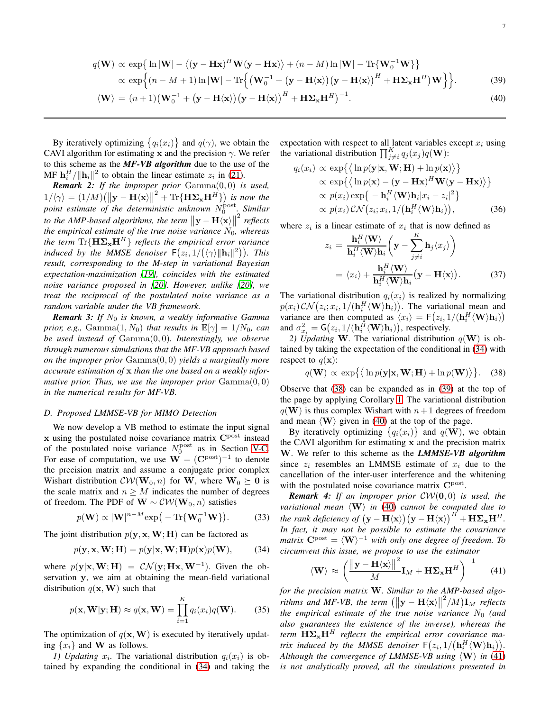<span id="page-6-2"></span>
$$
q(\mathbf{W}) \propto \exp\{\ln|\mathbf{W}| - \langle (\mathbf{y} - \mathbf{H}\mathbf{x})^H \mathbf{W} (\mathbf{y} - \mathbf{H}\mathbf{x}) \rangle + (n - M) \ln |\mathbf{W}| - \text{Tr}\{\mathbf{W}_0^{-1} \mathbf{W}\}\}\n\times \exp\{(n - M + 1) \ln |\mathbf{W}| - \text{Tr}\{(\mathbf{W}_0^{-1} + (\mathbf{y} - \mathbf{H}\langle \mathbf{x}\rangle)(\mathbf{y} - \mathbf{H}\langle \mathbf{x}\rangle)^H + \mathbf{H}\mathbf{\Sigma}_{\mathbf{x}}\mathbf{H}^H)\mathbf{W}\}\}.
$$
\n(39)

$$
\langle \mathbf{W} \rangle = (n+1) \big( \mathbf{W}_0^{-1} + (\mathbf{y} - \mathbf{H} \langle \mathbf{x} \rangle) (\mathbf{y} - \mathbf{H} \langle \mathbf{x} \rangle)^H + \mathbf{H} \mathbf{\Sigma}_{\mathbf{x}} \mathbf{H}^H \big)^{-1}.
$$
 (40)

By iteratively optimizing  $\{q_i(x_i)\}\$  and  $q(\gamma)$ , we obtain the CAVI algorithm for estimating x and the precision  $\gamma$ . We refer to this scheme as the *MF-VB algorithm* due to the use of the MF  $\mathbf{h}_i^H / ||\mathbf{h}_i||^2$  to obtain the linear estimate  $z_i$  in [\(21\)](#page-4-5).

*Remark 2: If the improper prior* Gamma(0, 0) *is used,*  $1/\langle \gamma \rangle = (1/M) \left( \left\| \mathbf{y} - \mathbf{H} \langle \mathbf{x} \rangle \right\|^2 + \text{Tr} \{ \mathbf{H} \mathbf{\Sigma_x} \mathbf{H}^H \} \right)$  is now the  $p$ *point estimate of the deterministic unknown*  $N_0^{\text{post}}$ . Similar *to the AMP-based algorithms, the term*  $\|\mathbf{y} - \mathbf{H}\langle \mathbf{x} \rangle \|$ 2 *reflects the empirical estimate of the true noise variance*  $N_0$ , whereas *the term*  $\text{Tr}\{\mathbf{H}\mathbf{\Sigma}_{\mathbf{x}}\mathbf{H}^H\}$  *reflects the empirical error variance induced by the MMSE denoiser*  $F(z_i, 1/(\langle \gamma \rangle ||\mathbf{h}_i||^2))$ *. This result, corresponding to the M-step in variational Bayesian expectation-maximization [\[19\]](#page-13-18), coincides with the estimated noise variance proposed in [\[20\]](#page-13-19). However, unlike [\[20\]](#page-13-19), we treat the reciprocal of the postulated noise variance as a random variable under the VB framework.*

*Remark 3: If*  $N_0$  *is known, a weakly informative Gamma prior, e.g.,* Gamma $(1, N_0)$  *that results in*  $\mathbb{E}[\gamma] = 1/N_0$ *, can be used instead of* Gamma(0, 0)*. Interestingly, we observe through numerous simulations that the MF-VB approach based on the improper prior* Gamma(0, 0) *yields a marginally more accurate estimation of* x *than the one based on a weakly informative prior. Thus, we use the improper prior* Gamma(0, 0) *in the numerical results for MF-VB.*

#### *D. Proposed LMMSE-VB for MIMO Detection*

We now develop a VB method to estimate the input signal  $x$  using the postulated noise covariance matrix  $C<sup>post</sup>$  instead of the postulated noise variance  $N_0^{\text{post}}$  as in Section [V-C.](#page-5-3) For ease of computation, we use  $\mathbf{W} = (\mathbf{C}^{\text{post}})^{-1}$  to denote the precision matrix and assume a conjugate prior complex Wishart distribution  $\mathcal{CW}(\mathbf{W}_0, n)$  for **W**, where  $\mathbf{W}_0 \succeq \mathbf{0}$  is the scale matrix and  $n \geq M$  indicates the number of degrees of freedom. The PDF of  $\mathbf{W} \sim \mathcal{CW}(\mathbf{W}_0, n)$  satisfies

$$
p(\mathbf{W}) \propto |\mathbf{W}|^{n-M} \exp(-\operatorname{Tr}\{\mathbf{W}_0^{-1}\mathbf{W}\}).
$$
 (33)

The joint distribution  $p(\mathbf{y}, \mathbf{x}, \mathbf{W}; \mathbf{H})$  can be factored as

<span id="page-6-0"></span>
$$
p(\mathbf{y}, \mathbf{x}, \mathbf{W}; \mathbf{H}) = p(\mathbf{y}|\mathbf{x}, \mathbf{W}; \mathbf{H}) p(\mathbf{x}) p(\mathbf{W}),
$$
 (34)

where  $p(\mathbf{y}|\mathbf{x}, \mathbf{W}; \mathbf{H}) = \mathcal{CN}(\mathbf{y}; \mathbf{H}\mathbf{x}, \mathbf{W}^{-1})$ . Given the observation y, we aim at obtaining the mean-field variational distribution  $q(\mathbf{x}, \mathbf{W})$  such that

$$
p(\mathbf{x}, \mathbf{W} | \mathbf{y}; \mathbf{H}) \approx q(\mathbf{x}, \mathbf{W}) = \prod_{i=1}^{K} q_i(x_i) q(\mathbf{W}).
$$
 (35)

The optimization of  $q(x, W)$  is executed by iteratively updating  $\{x_i\}$  and **W** as follows.

*1)* Updating  $x_i$ . The variational distribution  $q_i(x_i)$  is obtained by expanding the conditional in [\(34\)](#page-6-0) and taking the expectation with respect to all latent variables except  $x_i$  using the variational distribution  $\prod_{j\neq i}^{K} q_j(x_j)q(\mathbf{W})$ :

$$
q_i(x_i) \propto \exp\{\langle \ln p(\mathbf{y}|\mathbf{x}, \mathbf{W}; \mathbf{H}) + \ln p(\mathbf{x}) \rangle \} \propto \exp\{\langle \ln p(\mathbf{x}) - (\mathbf{y} - \mathbf{H}\mathbf{x})^H \mathbf{W}(\mathbf{y} - \mathbf{H}\mathbf{x}) \rangle \} \propto p(x_i) \exp\{-\mathbf{h}_i^H(\mathbf{W}) \mathbf{h}_i | x_i - z_i |^2 \} \propto p(x_i) \mathcal{CN}(z_i; x_i, 1/(\mathbf{h}_i^H(\mathbf{W}) \mathbf{h}_i)),
$$
\n(36)

where  $z_i$  is a linear estimate of  $x_i$  that is now defined as

$$
z_i = \frac{\mathbf{h}_i^H \langle \mathbf{W} \rangle}{\mathbf{h}_i^H \langle \mathbf{W} \rangle \mathbf{h}_i} \left( \mathbf{y} - \sum_{j \neq i}^K \mathbf{h}_j \langle x_j \rangle \right)
$$
  
=  $\langle x_i \rangle + \frac{\mathbf{h}_i^H \langle \mathbf{W} \rangle}{\mathbf{h}_i^H \langle \mathbf{W} \rangle \mathbf{h}_i} (\mathbf{y} - \mathbf{H} \langle \mathbf{x} \rangle).$  (37)

The variational distribution  $q_i(x_i)$  is realized by normalizing  $p(x_i) \, \mathcal{CN}(z_i; x_i, 1/(\mathbf{h}_i^H \langle \mathbf{W} \rangle \mathbf{h}_i)).$  The variational mean and variance are then computed as  $\langle x_i \rangle = \mathsf{F}(z_i, 1/(\mathbf{h}_i^H \langle \mathbf{W} \rangle \mathbf{h}_i))$ and  $\sigma_{x_i}^2 = G(z_i, 1/(\mathbf{h}_i^H \langle \mathbf{W} \rangle \mathbf{h}_i))$ , respectively.

2) Updating W. The variational distribution  $q(\mathbf{W})$  is obtained by taking the expectation of the conditional in [\(34\)](#page-6-0) with respect to  $q(\mathbf{x})$ :

<span id="page-6-1"></span>
$$
q(\mathbf{W}) \propto \exp\{\langle \ln p(\mathbf{y}|\mathbf{x}, \mathbf{W}; \mathbf{H}) + \ln p(\mathbf{W}) \rangle\}.
$$
 (38)

Observe that [\(38\)](#page-6-1) can be expanded as in [\(39\)](#page-6-2) at the top of the page by applying Corollary [1.](#page-3-4) The variational distribution  $q(\mathbf{W})$  is thus complex Wishart with  $n+1$  degrees of freedom and mean  $\langle W \rangle$  given in [\(40\)](#page-6-2) at the top of the page.

By iteratively optimizing  $\{q_i(x_i)\}\$  and  $q(\mathbf{W})$ , we obtain the CAVI algorithm for estimating x and the precision matrix W. We refer to this scheme as the *LMMSE-VB algorithm* since  $z_i$  resembles an LMMSE estimate of  $x_i$  due to the cancellation of the inter-user interference and the whitening with the postulated noise covariance matrix C<sup>post</sup>.

*Remark 4: If an improper prior* CW(0, 0) *is used, the variational mean*  $\langle W \rangle$  *in* [\(40\)](#page-6-2) *cannot be computed due to the rank deficiency of*  $(\mathbf{y} - \mathbf{H}\langle \mathbf{x}\rangle)(\mathbf{y} - \mathbf{H}\langle \mathbf{x}\rangle)^H + \mathbf{H}\mathbf{\Sigma}_{\mathbf{x}}\mathbf{H}^H$ . *In fact, it may not be possible to estimate the covariance matrix*  $\mathbf{C}^{\text{post}} = \langle \mathbf{W} \rangle^{-1}$  *with only one degree of freedom. To circumvent this issue, we propose to use the estimator*

<span id="page-6-3"></span>
$$
\langle \mathbf{W} \rangle \approx \left( \frac{\left\| \mathbf{y} - \mathbf{H} \langle \mathbf{x} \rangle \right\|^2}{M} \mathbf{I}_M + \mathbf{H} \mathbf{\Sigma}_{\mathbf{x}} \mathbf{H}^H \right)^{-1} \tag{41}
$$

*for the precision matrix* W*. Similar to the AMP-based algorithms and MF-VB, the term*  $(||\mathbf{y} - \mathbf{H}\langle \mathbf{x} \rangle||)$  $^{2}/M$ **I**<sub>M</sub> reflects *the empirical estimate of the true noise variance*  $N_0$  (and *also guarantees the existence of the inverse), whereas the term*  $\mathbf{H}\Sigma_{\mathbf{x}}\mathbf{H}^H$  *reflects the empirical error covariance matrix induced by the MMSE denoiser*  $\mathsf{F}(z_i,1/(\mathbf{h}_i^H\langle \mathbf{W}\rangle\mathbf{h}_i)).$ *Although the convergence of LMMSE-VB using*  $\langle W \rangle$  *in* [\(41\)](#page-6-3) *is not analytically proved, all the simulations presented in*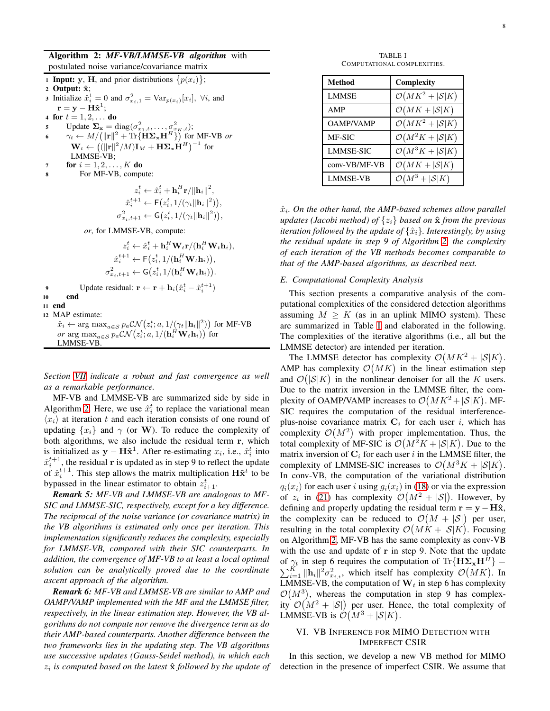8

Algorithm 2: *MF-VB/LMMSE-VB algorithm* with postulated noise variance/covariance matrix

|    | <b>1 Input:</b> y, H, and prior distributions $\{p(x_i)\}\;$ ;                                                                         |
|----|----------------------------------------------------------------------------------------------------------------------------------------|
|    | 2 Output: $\hat{\mathbf{x}}$ ;                                                                                                         |
|    | 3 Initialize $\hat{x}_i^1 = 0$ and $\sigma_{x_i,1}^2 = \text{Var}_{p(x_i)}[x_i], \forall i$ , and                                      |
|    | $\mathbf{r} = \mathbf{y} - \mathbf{H} \hat{\mathbf{x}}^{\text{T}}$                                                                     |
|    | 4 for $t = 1, 2, $ do                                                                                                                  |
| 5  | Update $\Sigma_{\mathbf{x}} = \text{diag}(\sigma_{x_1,t}^2, \dots, \sigma_{x_K,t}^2);$                                                 |
| 6  | $\gamma_t \leftarrow M/(\ \mathbf{r}\ ^2 + \text{Tr}\{\mathbf{H}\mathbf{\Sigma_xH}^H\})$ for MF-VB or                                  |
|    | $\mathbf{W}_t \leftarrow ((\ \mathbf{r}\ ^2 / M)\mathbf{I}_M + \mathbf{H} \mathbf{\Sigma}_{\mathbf{x}} \mathbf{H}^H)^{-1}$ for         |
|    | LMMSE-VB;                                                                                                                              |
| 7  | <b>for</b> $i = 1, 2, , K$ <b>do</b>                                                                                                   |
| 8  | For MF-VB, compute:                                                                                                                    |
|    | $z_i^t \leftarrow \hat{x}_i^t + \mathbf{h}_i^H \mathbf{r} /   \mathbf{h}_i  ^2$ .                                                      |
|    |                                                                                                                                        |
|    | $\hat{x}_{i}^{t+1} \leftarrow F(z_i^t, 1/(\gamma_t \ \mathbf{h}_i\ ^2)),$                                                              |
|    | $\sigma_{x_i,t+1}^2 \leftarrow \mathsf{G}(z_i^t, 1/(\gamma_t \ \mathbf{h}_i\ ^2)),$                                                    |
|    | or, for LMMSE-VB, compute:                                                                                                             |
|    | $z_i^t \leftarrow \hat{x}_i^t + \mathbf{h}_i^H \mathbf{W}_t \mathbf{r} / (\mathbf{h}_i^H \mathbf{W}_t \mathbf{h}_i),$                  |
|    | $\hat{x}_i^{t+1} \leftarrow \mathsf{F}(z_i^t, 1/(\mathbf{h}_i^H \mathbf{W}_t \mathbf{h}_i)),$                                          |
|    | $\sigma_{x_i,t+1}^2 \leftarrow \mathsf{G}(z_i^t, 1/(\mathbf{h}_i^H \mathbf{W}_t \mathbf{h}_i)).$                                       |
| 9  | Update residual: $\mathbf{r} \leftarrow \mathbf{r} + \mathbf{h}_i(\hat{x}_i^t - \hat{x}_i^{t+1})$                                      |
| 10 | end                                                                                                                                    |
| 11 | end                                                                                                                                    |
| 12 | MAP estimate:                                                                                                                          |
|    | $\hat{x}_i \leftarrow \arg \max_{a \in \mathcal{S}} p_a \mathcal{CN}(z_i^t; a, 1/(\gamma_t \ \mathbf{h}_i\ ^2))$ for MF-VB             |
|    | or arg $\max_{a \in \mathcal{S}} p_a \mathcal{CN}\left(z_i^t; a, 1/(\mathbf{h}_i^H \mathbf{W}_t \mathbf{h}_i)\right)$ for<br>LMMSE-VB. |
|    |                                                                                                                                        |
|    |                                                                                                                                        |

<span id="page-7-1"></span>*Section [VII](#page-10-0) indicate a robust and fast convergence as well as a remarkable performance.*

MF-VB and LMMSE-VB are summarized side by side in Algorithm [2.](#page-7-1) Here, we use  $\hat{x}_i^t$  to replace the variational mean  $\langle x_i \rangle$  at iteration t and each iteration consists of one round of updating  $\{x_i\}$  and  $\gamma$  (or W). To reduce the complexity of both algorithms, we also include the residual term r, which is initialized as  $y - H\hat{x}^1$ . After re-estimating  $x_i$ , i.e.,  $\hat{x}_i^t$  into  $\hat{x}_i^{t+1}$ , the residual r is updated as in step 9 to reflect the update of  $\hat{x}_i^{t+1}$ . This step allows the matrix multiplication  $\mathbf{H} \hat{\mathbf{x}}^t$  to be by passed in the linear estimator to obtain  $z_{i+1}^t$ .

*Remark 5: MF-VB and LMMSE-VB are analogous to MF-SIC and LMMSE-SIC, respectively, except for a key difference. The reciprocal of the noise variance (or covariance matrix) in the VB algorithms is estimated only once per iteration. This implementation significantly reduces the complexity, especially for LMMSE-VB, compared with their SIC counterparts. In addition, the convergence of MF-VB to at least a local optimal solution can be analytically proved due to the coordinate ascent approach of the algorithm.*

*Remark 6: MF-VB and LMMSE-VB are similar to AMP and OAMP/VAMP implemented with the MF and the LMMSE filter, respectively, in the linear estimation step. However, the VB algorithms do not compute nor remove the divergence term as do their AMP-based counterparts. Another difference between the two frameworks lies in the updating step. The VB algorithms use successive updates (Gauss-Seidel method), in which each*  $z_i$  is computed based on the latest  $\hat{\mathbf{x}}$  followed by the update of

TABLE I COMPUTATIONAL COMPLEXITIES.

<span id="page-7-2"></span>

| Method           | Complexity                           |
|------------------|--------------------------------------|
| LMMSE            | $\mathcal{O}(MK^2 +  \mathcal{S} K)$ |
| AMP              | $\mathcal{O}(MK +  \mathcal{S} K)$   |
| <b>OAMP/VAMP</b> | $\mathcal{O}(MK^2 +  \mathcal{S} K)$ |
| MF-SIC           | $\mathcal{O}(M^2K +  \mathcal{S} K)$ |
| <b>LMMSE-SIC</b> | $\mathcal{O}(M^3K +  \mathcal{S} K)$ |
| conv-VB/MF-VB    | $\mathcal{O}(MK +  \mathcal{S} K)$   |
| <b>LMMSE-VB</b>  | $\mathcal{O}(M^3 +  \mathcal{S} K)$  |

 $\hat{x}_i$ . On the other hand, the AMP-based schemes allow parallel *updates (Jacobi method) of*  $\{z_i\}$  *based on*  $\hat{\mathbf{x}}$  *from the previous iteration followed by the update of*  $\{\hat{x}_i\}$ *. Interestingly, by using the residual update in step 9 of Algorithm [2,](#page-7-1) the complexity of each iteration of the VB methods becomes comparable to that of the AMP-based algorithms, as described next.*

## *E. Computational Complexity Analysis*

This section presents a comparative analysis of the computational complexities of the considered detection algorithms assuming  $M > K$  (as in an uplink MIMO system). These are summarized in Table [I](#page-7-2) and elaborated in the following. The complexities of the iterative algorithms (i.e., all but the LMMSE detector) are intended per iteration.

The LMMSE detector has complexity  $\mathcal{O}(MK^2 + |\mathcal{S}|K)$ . AMP has complexity  $\mathcal{O}(MK)$  in the linear estimation step and  $\mathcal{O}(|\mathcal{S}|K)$  in the nonlinear denoiser for all the K users. Due to the matrix inversion in the LMMSE filter, the complexity of OAMP/VAMP increases to  $\mathcal{O}(MK^2 + |\mathcal{S}|K)$ . MF-SIC requires the computation of the residual interferenceplus-noise covariance matrix  $C_i$  for each user i, which has complexity  $\mathcal{O}(M^2)$  with proper implementation. Thus, the total complexity of MF-SIC is  $\mathcal{O}(M^2K + |\mathcal{S}|K)$ . Due to the matrix inversion of  $C_i$  for each user i in the LMMSE filter, the complexity of LMMSE-SIC increases to  $\mathcal{O}(M^3K + |\mathcal{S}|K)$ . In conv-VB, the computation of the variational distribution  $q_i(x_i)$  for each user i using  $q_i(x_i)$  in [\(18\)](#page-4-3) or via the expression of  $z_i$  in [\(21\)](#page-4-5) has complexity  $\mathcal{O}(M^2 + |\mathcal{S}|)$ . However, by defining and properly updating the residual term  $\mathbf{r} = \mathbf{y} - \mathbf{H}\hat{\mathbf{x}}$ , the complexity can be reduced to  $\mathcal{O}(M + |\mathcal{S}|)$  per user, resulting in the total complexity  $\mathcal{O}(MK + |\mathcal{S}|K)$ . Focusing on Algorithm [2,](#page-7-1) MF-VB has the same complexity as conv-VB with the use and update of  $r$  in step 9. Note that the update of  $\gamma_t$  in step 6 requires the computation of Tr{ $H\Sigma_x H^H$ } =  $\sum_{i=1}^K \|\mathbf{h}_i\|^2 \sigma_{x_{i,t}}^2$ , which itself has complexity  $\mathcal{O}(MK)$ . In LMMSE-VB, the computation of  $W_t$  in step 6 has complexity  $\mathcal{O}(M^3)$ , whereas the computation in step 9 has complexity  $\mathcal{O}(M^2 + |\mathcal{S}|)$  per user. Hence, the total complexity of LMMSE-VB is  $\mathcal{O}(M^3 + |\mathcal{S}|K)$ .

# <span id="page-7-0"></span>VI. VB INFERENCE FOR MIMO DETECTION WITH IMPERFECT CSIR

In this section, we develop a new VB method for MIMO detection in the presence of imperfect CSIR. We assume that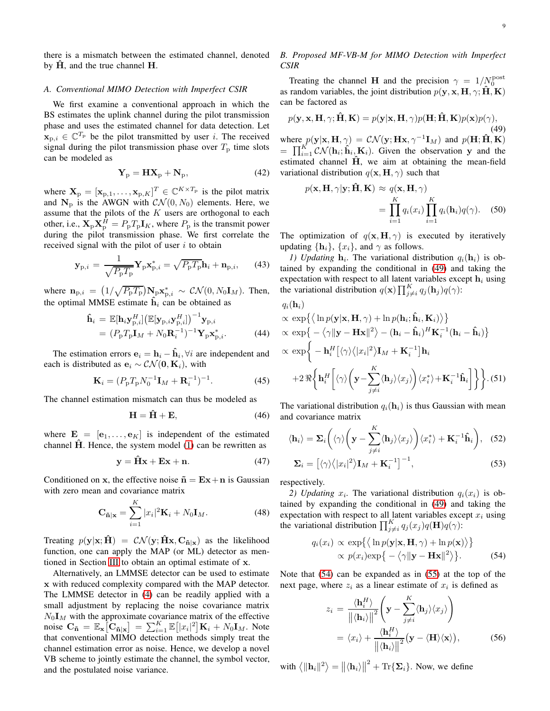there is a mismatch between the estimated channel, denoted by  $H$ , and the true channel  $H$ .

#### *A. Conventional MIMO Detection with Imperfect CSIR*

We first examine a conventional approach in which the BS estimates the uplink channel during the pilot transmission phase and uses the estimated channel for data detection. Let  $\mathbf{x}_{p,i} \in \mathbb{C}^{T_p}$  be the pilot transmitted by user *i*. The received signal during the pilot transmission phase over  $T<sub>p</sub>$  time slots can be modeled as

$$
\mathbf{Y}_{\mathrm{p}} = \mathbf{H}\mathbf{X}_{\mathrm{p}} + \mathbf{N}_{\mathrm{p}},\tag{42}
$$

where  $X_p = [\mathbf{x}_{p,1}, \dots, \mathbf{x}_{p,K}]^T \in \mathbb{C}^{K \times T_p}$  is the pilot matrix and  $N_p$  is the AWGN with  $\mathcal{CN}(0, N_0)$  elements. Here, we assume that the pilots of the  $K$  users are orthogonal to each other, i.e.,  $\mathbf{X}_p \mathbf{X}_p^H = P_p T_p I_K$ , where  $P_p$  is the transmit power during the pilot transmission phase. We first correlate the received signal with the pilot of user  $i$  to obtain

$$
\mathbf{y}_{\mathrm{p},i} = \frac{1}{\sqrt{P_{\mathrm{p}}T_{\mathrm{p}}}} \mathbf{Y}_{\mathrm{p}} \mathbf{x}_{\mathrm{p},i}^{*} = \sqrt{P_{\mathrm{p}}T_{\mathrm{p}}} \mathbf{h}_{i} + \mathbf{n}_{\mathrm{p},i},\qquad(43)
$$

where  $\mathbf{n}_{p,i} = (1/\sqrt{P_pT_p})\mathbf{N}_p\mathbf{x}_{p,i}^* \sim \mathcal{CN}(0, N_0\mathbf{I}_M)$ . Then, the optimal MMSE estimate  $\hat{h}_i$  can be obtained as

<span id="page-8-5"></span>
$$
\hat{\mathbf{h}}_i = \mathbb{E}[\mathbf{h}_i \mathbf{y}_{\mathrm{p},i}^H] \big(\mathbb{E}[\mathbf{y}_{\mathrm{p},i} \mathbf{y}_{\mathrm{p},i}^H]\big)^{-1} \mathbf{y}_{\mathrm{p},i} \n= (P_{\mathrm{p}} T_{\mathrm{p}} \mathbf{I}_M + N_0 \mathbf{R}_i^{-1})^{-1} \mathbf{Y}_{\mathrm{p}} \mathbf{x}_{\mathrm{p},i}^*.
$$
\n(44)

The estimation errors  $\mathbf{e}_i = \mathbf{h}_i - \hat{\mathbf{h}}_i$ ,  $\forall i$  are independent and each is distributed as  $e_i \sim \mathcal{CN}(\mathbf{0}, \mathbf{K}_i)$ , with

$$
\mathbf{K}_{i} = (P_{p}T_{p}N_{0}^{-1}\mathbf{I}_{M} + \mathbf{R}_{i}^{-1})^{-1}.
$$
 (45)

The channel estimation mismatch can thus be modeled as

$$
\mathbf{H} = \hat{\mathbf{H}} + \mathbf{E},\tag{46}
$$

where  $\mathbf{E} = [\mathbf{e}_1, \dots, \mathbf{e}_K]$  is independent of the estimated channel  $\hat{H}$ . Hence, the system model [\(1\)](#page-1-2) can be rewritten as

$$
y = \hat{H}x + Ex + n.\tag{47}
$$

Conditioned on x, the effective noise  $\tilde{\bf{n}} = {\bf{E}}{\bf{x}} + {\bf{n}}$  is Gaussian with zero mean and covariance matrix

$$
\mathbf{C}_{\tilde{\mathbf{n}}|\mathbf{x}} = \sum_{i=1}^{K} |x_i|^2 \mathbf{K}_i + N_0 \mathbf{I}_M.
$$
 (48)

Treating  $p(\mathbf{y}|\mathbf{x}; \hat{\mathbf{H}}) = \mathcal{CN}(\mathbf{y}; \hat{\mathbf{H}}\mathbf{x}, \mathbf{C}_{\tilde{\mathbf{n}}|\mathbf{x}})$  as the likelihood function, one can apply the MAP (or ML) detector as mentioned in Section [III](#page-1-1) to obtain an optimal estimate of x.

Alternatively, an LMMSE detector can be used to estimate x with reduced complexity compared with the MAP detector. The LMMSE detector in [\(4\)](#page-2-1) can be readily applied with a small adjustment by replacing the noise covariance matrix  $N_0I_M$  with the approximate covariance matrix of the effective noise  $\mathbf{C}_{\tilde{\mathbf{n}}} = \mathbb{E}_{\mathbf{x}} \big[ \mathbf{\tilde{C}}_{\tilde{\mathbf{n}} | \mathbf{x}} \big] = \sum_{i=1}^{K} \mathbb{E} \big[ |x_i|^2 \big] \mathbf{K}_i + N_0 \mathbf{I}_M$ . Note that conventional MIMO detection methods simply treat the channel estimation error as noise. Hence, we develop a novel VB scheme to jointly estimate the channel, the symbol vector, and the postulated noise variance.

# *B. Proposed MF-VB-M for MIMO Detection with Imperfect CSIR*

Treating the channel H and the precision  $\gamma = 1/N_0^{\text{post}}$ as random variables, the joint distribution  $p(\mathbf{y}, \mathbf{x}, \mathbf{H}, \gamma; \hat{\mathbf{H}}, \mathbf{K})$ can be factored as

<span id="page-8-0"></span>
$$
p(\mathbf{y}, \mathbf{x}, \mathbf{H}, \gamma; \hat{\mathbf{H}}, \mathbf{K}) = p(\mathbf{y} | \mathbf{x}, \mathbf{H}, \gamma) p(\mathbf{H}; \hat{\mathbf{H}}, \mathbf{K}) p(\mathbf{x}) p(\gamma),
$$
\n(49)

where  $p(\mathbf{y}|\mathbf{x}, \mathbf{H}, \gamma) = \mathcal{CN}(\mathbf{y}; \mathbf{H}\mathbf{x}, \gamma^{-1}\mathbf{I}_M)$  and  $p(\mathbf{H}; \hat{\mathbf{H}}, \mathbf{K})$  $=\prod_{i=1}^K C\mathcal{N}(\mathbf{h}_i; \hat{\mathbf{h}}_i, \mathbf{K}_i)$ . Given the observation y and the estimated channel  $\hat{H}$ , we aim at obtaining the mean-field variational distribution  $q(\mathbf{x}, \mathbf{H}, \gamma)$  such that

$$
p(\mathbf{x}, \mathbf{H}, \gamma | \mathbf{y}; \hat{\mathbf{H}}, \mathbf{K}) \approx q(\mathbf{x}, \mathbf{H}, \gamma)
$$
  
= 
$$
\prod_{i=1}^{K} q_i(x_i) \prod_{i=1}^{K} q_i(\mathbf{h}_i) q(\gamma).
$$
 (50)

The optimization of  $q(x, H, \gamma)$  is executed by iteratively updating  $\{\mathbf h_i\}$ ,  $\{x_i\}$ , and  $\gamma$  as follows.

*1)* Updating  $\mathbf{h}_i$ . The variational distribution  $q_i(\mathbf{h}_i)$  is obtained by expanding the conditional in [\(49\)](#page-8-0) and taking the expectation with respect to all latent variables except  $h_i$  using the variational distribution  $q(\mathbf{x}) \prod_{j \neq i}^{K} q_j(\mathbf{h}_j) q(\gamma)$ :

$$
q_i(\mathbf{h}_i)
$$
  
\n
$$
\propto \exp\left\{\left\langle \ln p(\mathbf{y}|\mathbf{x}, \mathbf{H}, \gamma) + \ln p(\mathbf{h}_i; \hat{\mathbf{h}}_i, \mathbf{K}_i) \right\rangle \right\}
$$
  
\n
$$
\propto \exp\left\{-\left\langle \gamma \|\mathbf{y} - \mathbf{H}\mathbf{x}\|^2 \right\rangle - (\mathbf{h}_i - \hat{\mathbf{h}}_i)^H \mathbf{K}_i^{-1} (\mathbf{h}_i - \hat{\mathbf{h}}_i) \right\}
$$
  
\n
$$
\propto \exp\left\{-\mathbf{h}_i^H \left[ \langle \gamma \rangle \langle |x_i|^2 \rangle \mathbf{I}_M + \mathbf{K}_i^{-1} \right] \mathbf{h}_i + 2 \Re\left\{ \mathbf{h}_i^H \left[ \langle \gamma \rangle \left( \mathbf{y} - \sum_{j \neq i}^K \langle \mathbf{h}_j \rangle \langle x_j \rangle \right) \langle x_i^* \rangle + \mathbf{K}_i^{-1} \hat{\mathbf{h}}_i \right] \right\} \right\}.
$$
 (51)

The variational distribution  $q_i(h_i)$  is thus Gaussian with mean and covariance matrix

<span id="page-8-3"></span>
$$
\langle \mathbf{h}_i \rangle = \mathbf{\Sigma}_i \left( \langle \gamma \rangle \left( \mathbf{y} - \sum_{j \neq i}^K \langle \mathbf{h}_j \rangle \langle x_j \rangle \right) \langle x_i^* \rangle + \mathbf{K}_i^{-1} \hat{\mathbf{h}}_i \right), \quad (52)
$$

$$
\mathbf{\Sigma}_i = \left[ \langle \gamma \rangle \langle |x_i|^2 \rangle \mathbf{I}_M + \mathbf{K}_i^{-1} \right]^{-1}, \quad (53)
$$

respectively.

2) Updating  $x_i$ . The variational distribution  $q_i(x_i)$  is obtained by expanding the conditional in [\(49\)](#page-8-0) and taking the expectation with respect to all latent variables except  $x_i$  using the variational distribution  $\prod_{j\neq i}^{K} q_j(x_j)q(\mathbf{H})q(\gamma)$ :

<span id="page-8-4"></span><span id="page-8-1"></span>
$$
q_i(x_i) \propto \exp\{\langle \ln p(\mathbf{y}|\mathbf{x}, \mathbf{H}, \gamma) + \ln p(\mathbf{x}) \rangle \} \propto p(x_i) \exp\{-\langle \gamma ||\mathbf{y} - \mathbf{H}\mathbf{x}||^2 \rangle \}.
$$
 (54)

Note that [\(54\)](#page-8-1) can be expanded as in [\(55\)](#page-9-0) at the top of the next page, where  $z_i$  as a linear estimate of  $x_i$  is defined as

<span id="page-8-2"></span>
$$
z_i = \frac{\langle \mathbf{h}_i^H \rangle}{\left\| \langle \mathbf{h}_i \rangle \right\|^2} \left( \mathbf{y} - \sum_{j \neq i}^K \langle \mathbf{h}_j \rangle \langle x_j \rangle \right)
$$
  
=  $\langle x_i \rangle + \frac{\langle \mathbf{h}_i^H \rangle}{\left\| \langle \mathbf{h}_i \rangle \right\|^2} (\mathbf{y} - \langle \mathbf{H} \rangle \langle \mathbf{x} \rangle),$  (56)

with  $\langle \|\mathbf{h}_i\|^2 \rangle = \|\langle \mathbf{h}_i \rangle \|$  $^{2}$  + Tr{ $\Sigma_{i}$ }. Now, we define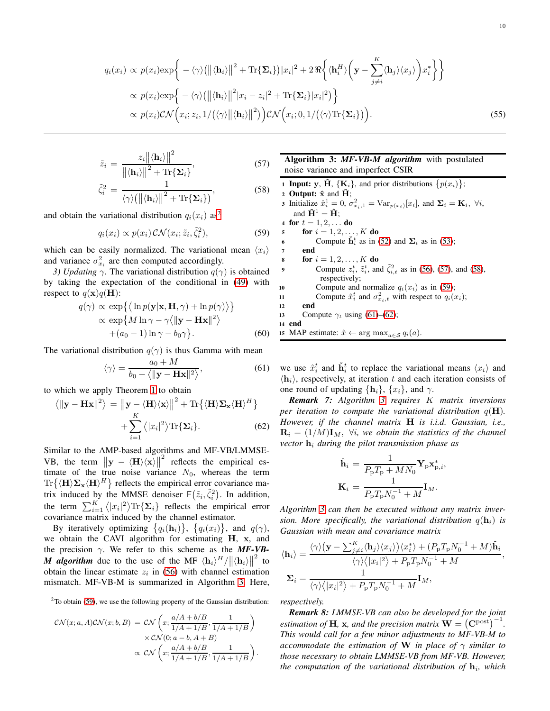<span id="page-9-0"></span>
$$
q_i(x_i) \propto p(x_i) \exp\bigg\{-\langle \gamma \rangle (\|\langle \mathbf{h}_i \rangle\|^2 + \text{Tr}\{\mathbf{\Sigma}_i\}) |x_i|^2 + 2 \Re\bigg\langle \langle \mathbf{h}_i^H \rangle \bigg(\mathbf{y} - \sum_{j \neq i}^K \langle \mathbf{h}_j \rangle \langle x_j \rangle \bigg) x_i^* \bigg\} \bigg\}
$$
  
 
$$
\propto p(x_i) \exp\bigg\{-\langle \gamma \rangle (\|\langle \mathbf{h}_i \rangle\|^2 |x_i - z_i|^2 + \text{Tr}\{\mathbf{\Sigma}_i\} |x_i|^2) \bigg\}
$$
  
 
$$
\propto p(x_i) \mathcal{CN}\bigg(x_i; z_i, 1/(\langle \gamma \rangle \|\langle \mathbf{h}_i \rangle\|^2)\bigg) \mathcal{CN}\bigg(x_i; 0, 1/(\langle \gamma \rangle \text{Tr}\{\mathbf{\Sigma}_i\})\bigg).
$$
 (55)

<span id="page-9-4"></span>
$$
\tilde{z}_i = \frac{z_i \|\langle \mathbf{h}_i \rangle\|^2}{\|\langle \mathbf{h}_i \rangle\|^2 + \text{Tr}\{\Sigma_i\}},\tag{57}
$$

$$
\tilde{\zeta}_i^2 = \frac{1}{\langle \gamma \rangle (\left\| \langle \mathbf{h}_i \rangle \right\|^2 + \text{Tr}\{\boldsymbol{\Sigma}_i\}},\tag{58}
$$

and obtain the variational distribution  $q_i(x_i)$  as<sup>[2](#page-9-1)</sup>

<span id="page-9-3"></span>
$$
q_i(x_i) \propto p(x_i) \mathcal{CN}(x_i; \tilde{z}_i, \tilde{\zeta}_i^2), \tag{59}
$$

which can be easily normalized. The variational mean  $\langle x_i \rangle$ and variance  $\sigma_{x_i}^2$  are then computed accordingly.

*3) Updating*  $\gamma$ . The variational distribution  $q(\gamma)$  is obtained by taking the expectation of the conditional in [\(49\)](#page-8-0) with respect to  $q(\mathbf{x})q(\mathbf{H})$ :

$$
q(\gamma) \propto \exp\{\langle \ln p(\mathbf{y}|\mathbf{x}, \mathbf{H}, \gamma) + \ln p(\gamma) \rangle \} \propto \exp\{M \ln \gamma - \gamma \langle ||\mathbf{y} - \mathbf{H}\mathbf{x}||^2 \rangle + (a_0 - 1) \ln \gamma - b_0 \gamma \}.
$$
\n(60)

The variational distribution  $q(\gamma)$  is thus Gamma with mean

<span id="page-9-5"></span>
$$
\langle \gamma \rangle = \frac{a_0 + M}{b_0 + \langle ||\mathbf{y} - \mathbf{H}\mathbf{x}||^2 \rangle},\tag{61}
$$

to which we apply Theorem [1](#page-3-3) to obtain

<span id="page-9-6"></span> $\langle$ 

$$
\|\mathbf{y} - \mathbf{H}\mathbf{x}\|^2 \rangle = \left\| \mathbf{y} - \langle \mathbf{H} \rangle \langle \mathbf{x} \rangle \right\|^2 + \text{Tr}\left\{ \langle \mathbf{H} \rangle \Sigma_{\mathbf{x}} \langle \mathbf{H} \rangle^H \right\} + \sum_{i=1}^K \langle |x_i|^2 \rangle \text{Tr}\{\Sigma_i\}.
$$
 (62)

Similar to the AMP-based algorithms and MF-VB/LMMSE-VB, the term  $\|\mathbf{y} - \langle \mathbf{H} \rangle \langle \mathbf{x} \rangle\|^2$  reflects the empirical esv<sub>D</sub>, and term  $||y - \langle 11/\langle x/||$  function the empirical es-<br>timate of the true noise variance  $N_0$ , whereas the term  $\text{Tr}\{\langle \mathbf{H}\rangle \mathbf{\Sigma}_{\mathbf{x}} \langle \mathbf{H}\rangle^H\}$  reflects the empirical error covariance matrix induced by the MMSE denoiser  $F(\tilde{z}_i, \tilde{\zeta}_i^2)$ . In addition, the term  $\sum_{i=1}^{K} \langle |x_i|^2 \rangle \text{Tr} {\{\Sigma_i\}}$  reflects the empirical error covariance matrix induced by the channel estimator.

By iteratively optimizing  $\{q_i(\mathbf{h}_i)\}, \{q_i(x_i)\},\$  and  $q(\gamma)$ , we obtain the CAVI algorithm for estimating H, x, and the precision  $\gamma$ . We refer to this scheme as the **MF-VB-***M* algorithm due to the use of the MF  $\langle \mathbf{h}_i \rangle^H / ||\langle \mathbf{h}_i \rangle||^2$  to obtain the linear estimate  $z_i$  in [\(56\)](#page-8-2) with channel estimation mismatch. MF-VB-M is summarized in Algorithm [3.](#page-9-2) Here,

 $2$ To obtain [\(59\)](#page-9-3), we use the following property of the Gaussian distribution:

<span id="page-9-1"></span>
$$
\mathcal{CN}(x;a,A)\mathcal{CN}(x;b,B) = \mathcal{CN}\left(x;\frac{a/A+b/B}{1/A+1/B},\frac{1}{1/A+1/B}\right) \\
\times \mathcal{CN}(0;a-b,A+B) \\
\times \mathcal{CN}\left(x;\frac{a/A+b/B}{1/A+1/B},\frac{1}{1/A+1/B}\right).
$$

Algorithm 3: *MF-VB-M algorithm* with postulated noise variance and imperfect CSIR

**1 Input:** y,  $\hat{H}$ , { $K_i$ }, and prior distributions  $\{p(x_i)\}$ ; 2 Output:  $\hat{\mathbf{x}}$  and  $\check{\mathbf{H}}$ ; **3** Initialize  $\hat{x}_i^1 = 0$ ,  $\sigma_{x_i,1}^2 = \text{Var}_{p(x_i)}[x_i]$ , and  $\Sigma_i = \mathbf{K}_i$ ,  $\forall i$ , and  $\check{H}^1 = \hat{H}$ ; 4 for  $t = 1, 2, ...$  do 5 **for**  $i = 1, 2, ..., K$  **do** 6 Compute  $\tilde{h}_i^t$  as in [\(52\)](#page-8-3) and  $\Sigma_i$  as in [\(53\)](#page-8-4); <sup>7</sup> end 8 **for**  $i = 1, 2, ..., K$  **do** 9 Compute  $z_i^t$ ,  $\tilde{z}_i^t$ , and  $\tilde{\zeta}_{i,t}^2$  as in [\(56\)](#page-8-2), [\(57\)](#page-9-4), and [\(58\)](#page-9-4), respectively; 10 Compute and normalize  $q_i(x_i)$  as in [\(59\)](#page-9-3); 11 Compute  $\hat{x}_i^t$  and  $\sigma_{x_i,t}^2$  with respect to  $q_i(x_i)$ ; <sup>12</sup> end 13 Compute  $\gamma_t$  using [\(61\)](#page-9-5)–[\(62\)](#page-9-6); <sup>14</sup> end 15 MAP estimate:  $\hat{x} \leftarrow \arg \max_{a \in S} q_i(a)$ .

<span id="page-9-2"></span>we use  $\hat{x}_i^t$  and  $\check{h}_i^t$  to replace the variational means  $\langle x_i \rangle$  and  $\langle \mathbf{h}_i \rangle$ , respectively, at iteration t and each iteration consists of one round of updating  $\{h_i\}$ ,  $\{x_i\}$ , and  $\gamma$ .

*Remark 7: Algorithm [3](#page-9-2) requires* K *matrix inversions per iteration to compute the variational distribution*  $q(\mathbf{H})$ . *However, if the channel matrix* H *is i.i.d. Gaussian, i.e.,*  $\mathbf{R}_i = (1/M)\mathbf{I}_M$ ,  $\forall i$ , we obtain the statistics of the channel  $vector h_i$  *during the pilot transmission phase as* 

$$
\hat{\mathbf{h}}_i = \frac{1}{P_{\rm p}T_{\rm p} + MN_0} \mathbf{Y}_{\rm p} \mathbf{x}_{\rm p,i}^*,
$$

$$
\mathbf{K}_i = \frac{1}{P_{\rm p}T_{\rm p}N_0^{-1} + M} \mathbf{I}_M.
$$

*Algorithm [3](#page-9-2) can then be executed without any matrix inversion. More specifically, the variational distribution*  $q(\mathbf{h}_i)$  *is Gaussian with mean and covariance matrix*

$$
\langle \mathbf{h}_i \rangle = \frac{\langle \gamma \rangle (\mathbf{y} - \sum_{j \neq i}^K \langle \mathbf{h}_j \rangle \langle x_j \rangle) \langle x_i^* \rangle + (P_{\rm p} T_{\rm p} N_0^{-1} + M) \hat{\mathbf{h}}_i}{\langle \gamma \rangle \langle |x_i|^2 \rangle + P_{\rm p} T_{\rm p} N_0^{-1} + M},
$$

$$
\Sigma_i = \frac{1}{\langle \gamma \rangle \langle |x_i|^2 \rangle + P_{\rm p} T_{\rm p} N_0^{-1} + M} \mathbf{I}_M,
$$

*respectively.*

*Remark 8: LMMSE-VB can also be developed for the joint estimation of* **H**, **x**, and the precision matrix  $\dot{\mathbf{W}} = (\mathbf{C}^{\text{post}})^{-1}$ . *This would call for a few minor adjustments to MF-VB-M to accommodate the estimation of* W *in place of* γ *similar to those necessary to obtain LMMSE-VB from MF-VB. However,* the computation of the variational distribution of  $\mathbf{h}_i$ , which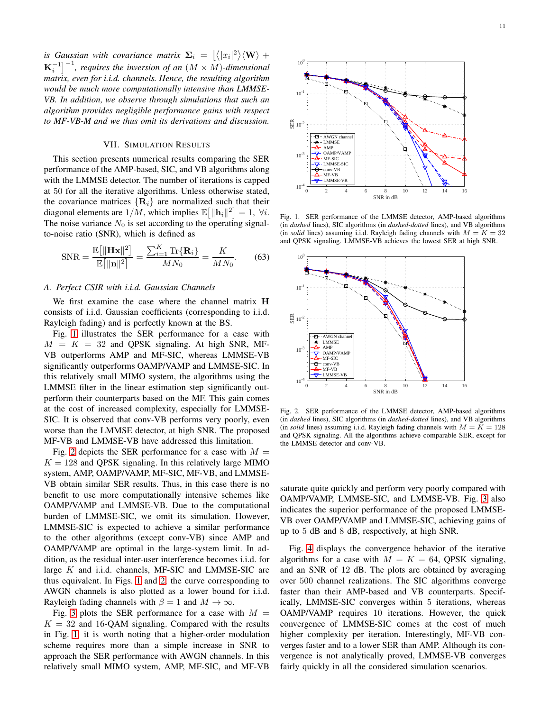is Gaussian with covariance matrix  $\mathbf{\Sigma}_i = \left[\left\langle |x_i|^2 \right\rangle \! \left\langle \mathbf{W} \right\rangle + \right.$  $\mathbf{K}_{i}^{-1}\big]^{-1}$ , requires the inversion of an  $(M \times M)$ -dimensional *matrix, even for i.i.d. channels. Hence, the resulting algorithm would be much more computationally intensive than LMMSE-VB. In addition, we observe through simulations that such an algorithm provides negligible performance gains with respect to MF-VB-M and we thus omit its derivations and discussion.*

#### VII. SIMULATION RESULTS

<span id="page-10-0"></span>This section presents numerical results comparing the SER performance of the AMP-based, SIC, and VB algorithms along with the LMMSE detector. The number of iterations is capped at 50 for all the iterative algorithms. Unless otherwise stated, the covariance matrices  $\{R_i\}$  are normalized such that their diagonal elements are  $1/M$ , which implies  $\mathbb{E} \left[ \|\mathbf{h}_i\|^2 \right] = 1$ ,  $\forall i$ . The noise variance  $N_0$  is set according to the operating signalto-noise ratio (SNR), which is defined as

$$
\text{SNR} = \frac{\mathbb{E}\big[\|\mathbf{H}\mathbf{x}\|^2\big]}{\mathbb{E}\big[\|\mathbf{n}\|^2\big]} = \frac{\sum_{i=1}^K \text{Tr}\{\mathbf{R}_i\}}{MN_0} = \frac{K}{MN_0}.\tag{63}
$$

#### *A. Perfect CSIR with i.i.d. Gaussian Channels*

We first examine the case where the channel matrix H consists of i.i.d. Gaussian coefficients (corresponding to i.i.d. Rayleigh fading) and is perfectly known at the BS.

Fig. [1](#page-10-1) illustrates the SER performance for a case with  $M = K = 32$  and QPSK signaling. At high SNR, MF-VB outperforms AMP and MF-SIC, whereas LMMSE-VB significantly outperforms OAMP/VAMP and LMMSE-SIC. In this relatively small MIMO system, the algorithms using the LMMSE filter in the linear estimation step significantly outperform their counterparts based on the MF. This gain comes at the cost of increased complexity, especially for LMMSE-SIC. It is observed that conv-VB performs very poorly, even worse than the LMMSE detector, at high SNR. The proposed MF-VB and LMMSE-VB have addressed this limitation.

Fig. [2](#page-10-2) depicts the SER performance for a case with  $M =$  $K = 128$  and QPSK signaling. In this relatively large MIMO system, AMP, OAMP/VAMP, MF-SIC, MF-VB, and LMMSE-VB obtain similar SER results. Thus, in this case there is no benefit to use more computationally intensive schemes like OAMP/VAMP and LMMSE-VB. Due to the computational burden of LMMSE-SIC, we omit its simulation. However, LMMSE-SIC is expected to achieve a similar performance to the other algorithms (except conv-VB) since AMP and OAMP/VAMP are optimal in the large-system limit. In addition, as the residual inter-user interference becomes i.i.d. for large K and i.i.d. channels, MF-SIC and LMMSE-SIC are thus equivalent. In Figs. [1](#page-10-1) and [2,](#page-10-2) the curve corresponding to AWGN channels is also plotted as a lower bound for i.i.d. Rayleigh fading channels with  $\beta = 1$  and  $M \rightarrow \infty$ .

Fig. [3](#page-11-0) plots the SER performance for a case with  $M =$  $K = 32$  and 16-QAM signaling. Compared with the results in Fig. [1,](#page-10-1) it is worth noting that a higher-order modulation scheme requires more than a simple increase in SNR to approach the SER performance with AWGN channels. In this relatively small MIMO system, AMP, MF-SIC, and MF-VB



<span id="page-10-1"></span>Fig. 1. SER performance of the LMMSE detector, AMP-based algorithms (in *dashed* lines), SIC algorithms (in *dashed-dotted* lines), and VB algorithms (in *solid* lines) assuming i.i.d. Rayleigh fading channels with  $M = K = 32$ and QPSK signaling. LMMSE-VB achieves the lowest SER at high SNR.



<span id="page-10-2"></span>Fig. 2. SER performance of the LMMSE detector, AMP-based algorithms (in *dashed* lines), SIC algorithms (in *dashed-dotted* lines), and VB algorithms (in *solid* lines) assuming i.i.d. Rayleigh fading channels with  $M = K = 128$ and QPSK signaling. All the algorithms achieve comparable SER, except for the LMMSE detector and conv-VB.

saturate quite quickly and perform very poorly compared with OAMP/VAMP, LMMSE-SIC, and LMMSE-VB. Fig. [3](#page-11-0) also indicates the superior performance of the proposed LMMSE-VB over OAMP/VAMP and LMMSE-SIC, achieving gains of up to 5 dB and 8 dB, respectively, at high SNR.

Fig. [4](#page-11-1) displays the convergence behavior of the iterative algorithms for a case with  $M = K = 64$ , QPSK signaling, and an SNR of 12 dB. The plots are obtained by averaging over 500 channel realizations. The SIC algorithms converge faster than their AMP-based and VB counterparts. Specifically, LMMSE-SIC converges within 5 iterations, whereas OAMP/VAMP requires 10 iterations. However, the quick convergence of LMMSE-SIC comes at the cost of much higher complexity per iteration. Interestingly, MF-VB converges faster and to a lower SER than AMP. Although its convergence is not analytically proved, LMMSE-VB converges fairly quickly in all the considered simulation scenarios.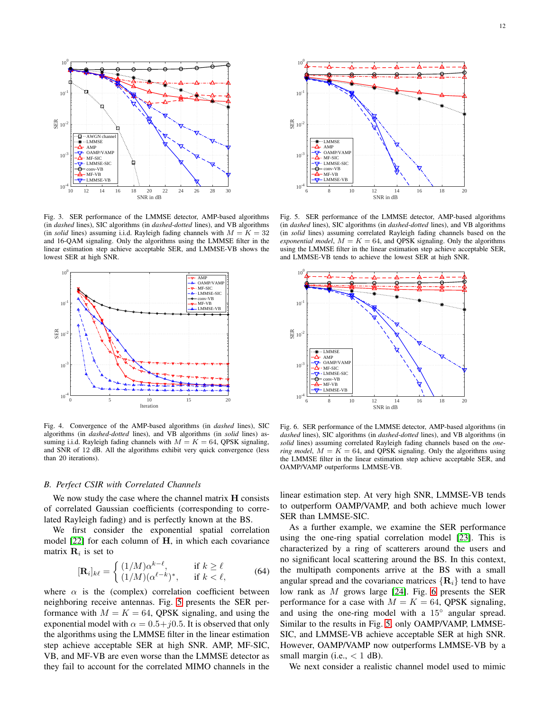

<span id="page-11-0"></span>Fig. 3. SER performance of the LMMSE detector, AMP-based algorithms (in *dashed* lines), SIC algorithms (in *dashed-dotted* lines), and VB algorithms (in *solid* lines) assuming i.i.d. Rayleigh fading channels with  $M = K = 32$ and 16-QAM signaling. Only the algorithms using the LMMSE filter in the linear estimation step achieve acceptable SER, and LMMSE-VB shows the lowest SER at high SNR.



<span id="page-11-1"></span>Fig. 4. Convergence of the AMP-based algorithms (in *dashed* lines), SIC algorithms (in *dashed-dotted* lines), and VB algorithms (in *solid* lines) assuming i.i.d. Rayleigh fading channels with  $M = K = 64$ , QPSK signaling, and SNR of 12 dB. All the algorithms exhibit very quick convergence (less than 20 iterations).

#### *B. Perfect CSIR with Correlated Channels*

We now study the case where the channel matrix  $H$  consists of correlated Gaussian coefficients (corresponding to correlated Rayleigh fading) and is perfectly known at the BS.

We first consider the exponential spatial correlation model  $[22]$  for each column of  $H$ , in which each covariance matrix  $\mathbf{R}_i$  is set to

$$
[\mathbf{R}_i]_{k\ell} = \begin{cases} (1/M)\alpha^{k-\ell}, & \text{if } k \ge \ell\\ (1/M)(\alpha^{\ell-k})^*, & \text{if } k < \ell, \end{cases}
$$
(64)

where  $\alpha$  is the (complex) correlation coefficient between neighboring receive antennas. Fig. [5](#page-11-2) presents the SER performance with  $M = K = 64$ , QPSK signaling, and using the exponential model with  $\alpha = 0.5 + j0.5$ . It is observed that only the algorithms using the LMMSE filter in the linear estimation step achieve acceptable SER at high SNR. AMP, MF-SIC, VB, and MF-VB are even worse than the LMMSE detector as they fail to account for the correlated MIMO channels in the



<span id="page-11-2"></span>Fig. 5. SER performance of the LMMSE detector, AMP-based algorithms (in *dashed* lines), SIC algorithms (in *dashed-dotted* lines), and VB algorithms (in *solid* lines) assuming correlated Rayleigh fading channels based on the *exponential model*,  $M = K = 64$ , and QPSK signaling. Only the algorithms using the LMMSE filter in the linear estimation step achieve acceptable SER, and LMMSE-VB tends to achieve the lowest SER at high SNR.



<span id="page-11-3"></span>Fig. 6. SER performance of the LMMSE detector, AMP-based algorithms (in *dashed* lines), SIC algorithms (in *dashed-dotted* lines), and VB algorithms (in *solid* lines) assuming correlated Rayleigh fading channels based on the *onering model*,  $M = \tilde{K} = 64$ , and QPSK signaling. Only the algorithms using the LMMSE filter in the linear estimation step achieve acceptable SER, and OAMP/VAMP outperforms LMMSE-VB.

linear estimation step. At very high SNR, LMMSE-VB tends to outperform OAMP/VAMP, and both achieve much lower SER than LMMSE-SIC.

As a further example, we examine the SER performance using the one-ring spatial correlation model [\[23\]](#page-13-22). This is characterized by a ring of scatterers around the users and no significant local scattering around the BS. In this context, the multipath components arrive at the BS with a small angular spread and the covariance matrices  $\{R_i\}$  tend to have low rank as M grows large [\[24\]](#page-13-23). Fig. [6](#page-11-3) presents the SER performance for a case with  $M = K = 64$ , QPSK signaling, and using the one-ring model with a 15° angular spread. Similar to the results in Fig. [5,](#page-11-2) only OAMP/VAMP, LMMSE-SIC, and LMMSE-VB achieve acceptable SER at high SNR. However, OAMP/VAMP now outperforms LMMSE-VB by a small margin (i.e.,  $< 1$  dB).

We next consider a realistic channel model used to mimic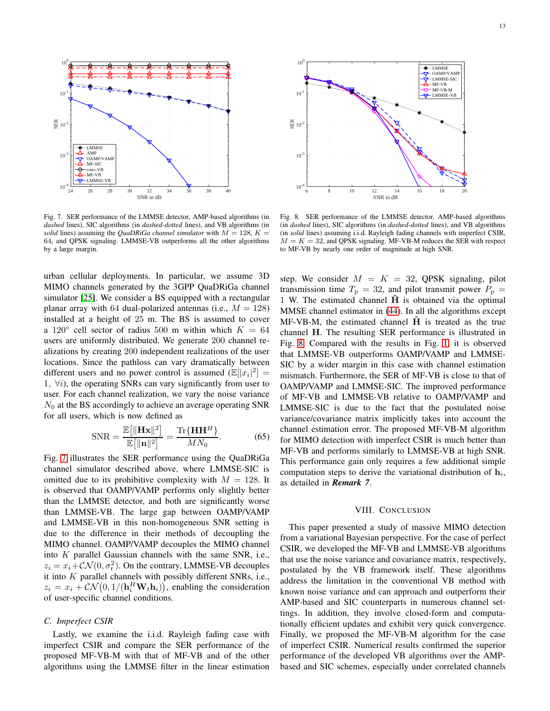

<span id="page-12-1"></span>Fig. 7. SER performance of the LMMSE detector, AMP-based algorithms (in *dashed* lines), SIC algorithms (in *dashed-dotted* lines), and VB algorithms (in *solid* lines) assuming the *QuaDRiGa channel simulator* with  $M = 128$ ,  $K =$ 64, and QPSK signaling. LMMSE-VB outperforms all the other algorithms by a large margin.

urban cellular deployments. In particular, we assume 3D MIMO channels generated by the 3GPP QuaDRiGa channel simulator [\[25\]](#page-13-24). We consider a BS equipped with a rectangular planar array with 64 dual-polarized antennas (i.e.,  $M = 128$ ) installed at a height of 25 m. The BS is assumed to cover a 120 $\degree$  cell sector of radius 500 m within which  $K = 64$ users are uniformly distributed. We generate 200 channel realizations by creating 200 independent realizations of the user locations. Since the pathloss can vary dramatically between different users and no power control is assumed  $(\mathbb{E}[|x_i|^2]) =$ 1,  $\forall i$ ), the operating SNRs can vary significantly from user to user. For each channel realization, we vary the noise variance  $N_0$  at the BS accordingly to achieve an average operating SNR for all users, which is now defined as

$$
\text{SNR} = \frac{\mathbb{E}\big[\|\mathbf{H}\mathbf{x}\|^2\big]}{\mathbb{E}\big[\|\mathbf{n}\|^2\big]} = \frac{\text{Tr}\{\mathbf{H}\mathbf{H}^H\}}{MN_0}.\tag{65}
$$

Fig. [7](#page-12-1) illustrates the SER performance using the QuaDRiGa channel simulator described above, where LMMSE-SIC is omitted due to its prohibitive complexity with  $M = 128$ . It is observed that OAMP/VAMP performs only slightly better than the LMMSE detector, and both are significantly worse than LMMSE-VB. The large gap between OAMP/VAMP and LMMSE-VB in this non-homogeneous SNR setting is due to the difference in their methods of decoupling the MIMO channel. OAMP/VAMP decouples the MIMO channel into K parallel Gaussian channels with the same SNR, i.e.,  $z_i = x_i + \mathcal{CN}(0, \sigma_t^2)$ . On the contrary, LMMSE-VB decouples it into  $K$  parallel channels with possibly different SNRs, i.e.,  $z_i = x_i + \mathcal{CN}(0, 1/(\mathbf{h}_i^H \mathbf{W}_t \mathbf{h}_i)),$  enabling the consideration of user-specific channel conditions.

## *C. Imperfect CSIR*

Lastly, we examine the i.i.d. Rayleigh fading case with imperfect CSIR and compare the SER performance of the proposed MF-VB-M with that of MF-VB and of the other algorithms using the LMMSE filter in the linear estimation



<span id="page-12-2"></span>Fig. 8. SER performance of the LMMSE detector, AMP-based algorithms (in *dashed* lines), SIC algorithms (in *dashed-dotted* lines), and VB algorithms (in *solid* lines) assuming i.i.d. Rayleigh fading channels with imperfect CSIR,  $M = K = 32$ , and QPSK signaling. MF-VB-M reduces the SER with respect to MF-VB by nearly one order of magnitude at high SNR.

step. We consider  $M = K = 32$ , QPSK signaling, pilot transmission time  $T_p = 32$ , and pilot transmit power  $P_p =$ 1 W. The estimated channel  $\hat{H}$  is obtained via the optimal MMSE channel estimator in [\(44\)](#page-8-5). In all the algorithms except  $MF-VB-M$ , the estimated channel  $H$  is treated as the true channel H. The resulting SER performance is illustrated in Fig. [8.](#page-12-2) Compared with the results in Fig. [1,](#page-10-1) it is observed that LMMSE-VB outperforms OAMP/VAMP and LMMSE-SIC by a wider margin in this case with channel estimation mismatch. Furthermore, the SER of MF-VB is close to that of OAMP/VAMP and LMMSE-SIC. The improved performance of MF-VB and LMMSE-VB relative to OAMP/VAMP and LMMSE-SIC is due to the fact that the postulated noise variance/covariance matrix implicitly takes into account the channel estimation error. The proposed MF-VB-M algorithm for MIMO detection with imperfect CSIR is much better than MF-VB and performs similarly to LMMSE-VB at high SNR. This performance gain only requires a few additional simple computation steps to derive the variational distribution of  $\mathbf{h}_i$ , as detailed in *Remark 7*.

#### VIII. CONCLUSION

<span id="page-12-0"></span>This paper presented a study of massive MIMO detection from a variational Bayesian perspective. For the case of perfect CSIR, we developed the MF-VB and LMMSE-VB algorithms that use the noise variance and covariance matrix, respectively, postulated by the VB framework itself. These algorithms address the limitation in the conventional VB method with known noise variance and can approach and outperform their AMP-based and SIC counterparts in numerous channel settings. In addition, they involve closed-form and computationally efficient updates and exhibit very quick convergence. Finally, we proposed the MF-VB-M algorithm for the case of imperfect CSIR. Numerical results confirmed the superior performance of the developed VB algorithms over the AMPbased and SIC schemes, especially under correlated channels